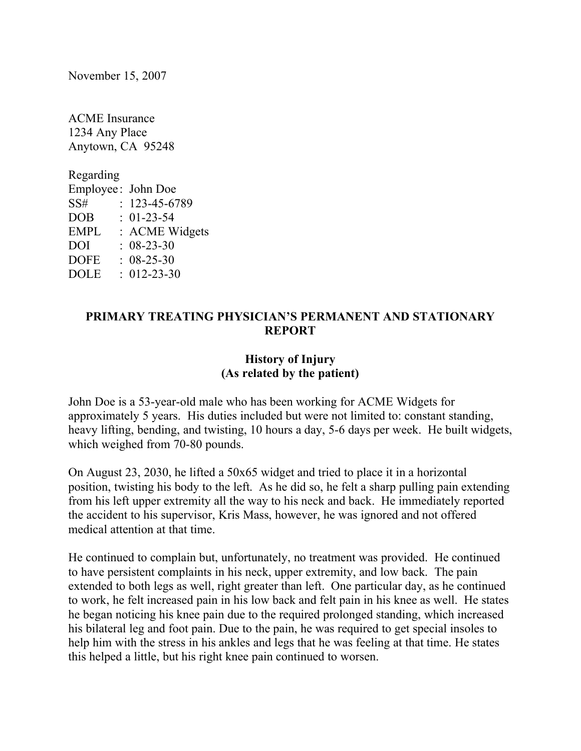November 15, 2007

ACME Insurance 1234 Any Place Anytown, CA 95248

Regarding Employee : John Doe SS# : 123-45-6789 DOB : 01-23-54 EMPL : ACME Widgets DOI : 08-23-30 DOFE : 08-25-30 DOLE : 012-23-30

## **PRIMARY TREATING PHYSICIAN'S PERMANENT AND STATIONARY REPORT**

## **History of Injury (As related by the patient)**

John Doe is a 53-year-old male who has been working for ACME Widgets for approximately 5 years. His duties included but were not limited to: constant standing, heavy lifting, bending, and twisting, 10 hours a day, 5-6 days per week. He built widgets, which weighed from 70-80 pounds.

On August 23, 2030, he lifted a 50x65 widget and tried to place it in a horizontal position, twisting his body to the left. As he did so, he felt a sharp pulling pain extending from his left upper extremity all the way to his neck and back. He immediately reported the accident to his supervisor, Kris Mass, however, he was ignored and not offered medical attention at that time.

He continued to complain but, unfortunately, no treatment was provided. He continued to have persistent complaints in his neck, upper extremity, and low back. The pain extended to both legs as well, right greater than left. One particular day, as he continued to work, he felt increased pain in his low back and felt pain in his knee as well. He states he began noticing his knee pain due to the required prolonged standing, which increased his bilateral leg and foot pain. Due to the pain, he was required to get special insoles to help him with the stress in his ankles and legs that he was feeling at that time. He states this helped a little, but his right knee pain continued to worsen.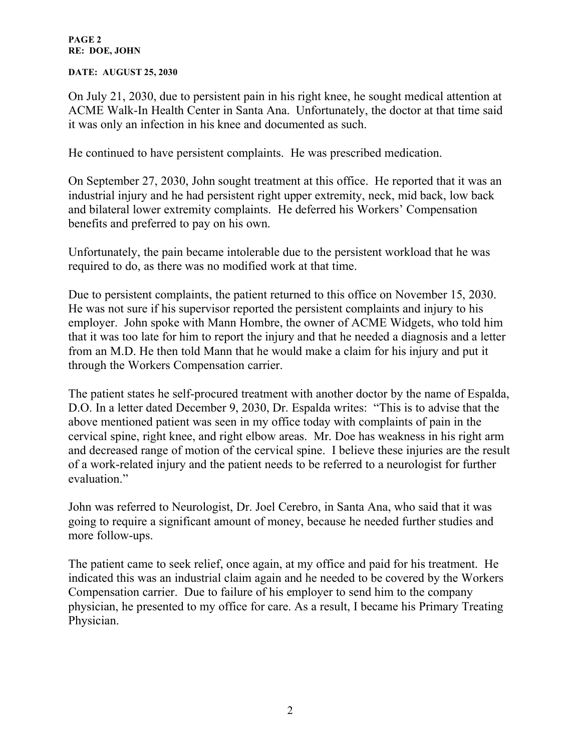#### **PAGE 2 RE: DOE, JOHN**

#### **DATE: AUGUST 25, 2030**

On July 21, 2030, due to persistent pain in his right knee, he sought medical attention at ACME Walk-In Health Center in Santa Ana. Unfortunately, the doctor at that time said it was only an infection in his knee and documented as such.

He continued to have persistent complaints. He was prescribed medication.

On September 27, 2030, John sought treatment at this office. He reported that it was an industrial injury and he had persistent right upper extremity, neck, mid back, low back and bilateral lower extremity complaints. He deferred his Workers' Compensation benefits and preferred to pay on his own.

Unfortunately, the pain became intolerable due to the persistent workload that he was required to do, as there was no modified work at that time.

Due to persistent complaints, the patient returned to this office on November 15, 2030. He was not sure if his supervisor reported the persistent complaints and injury to his employer. John spoke with Mann Hombre, the owner of ACME Widgets, who told him that it was too late for him to report the injury and that he needed a diagnosis and a letter from an M.D. He then told Mann that he would make a claim for his injury and put it through the Workers Compensation carrier.

The patient states he self-procured treatment with another doctor by the name of Espalda, D.O. In a letter dated December 9, 2030, Dr. Espalda writes: "This is to advise that the above mentioned patient was seen in my office today with complaints of pain in the cervical spine, right knee, and right elbow areas. Mr. Doe has weakness in his right arm and decreased range of motion of the cervical spine. I believe these injuries are the result of a work-related injury and the patient needs to be referred to a neurologist for further evaluation."

John was referred to Neurologist, Dr. Joel Cerebro, in Santa Ana, who said that it was going to require a significant amount of money, because he needed further studies and more follow-ups.

The patient came to seek relief, once again, at my office and paid for his treatment. He indicated this was an industrial claim again and he needed to be covered by the Workers Compensation carrier. Due to failure of his employer to send him to the company physician, he presented to my office for care. As a result, I became his Primary Treating Physician.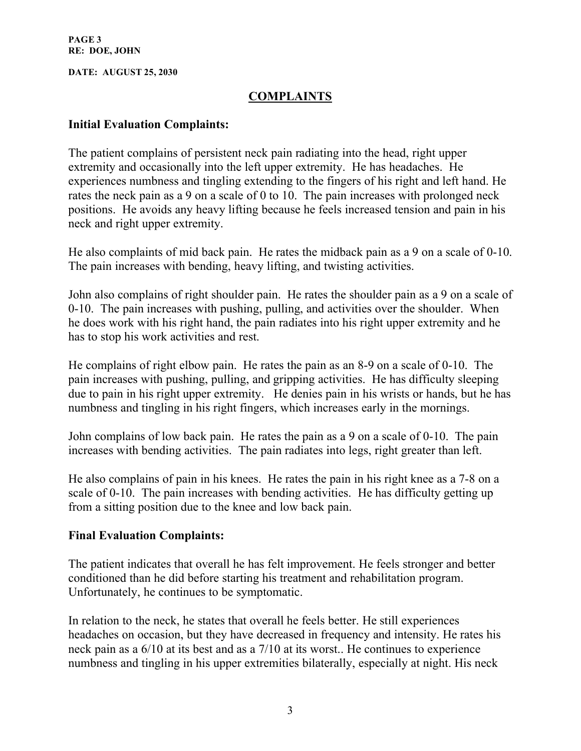**PAGE 3 RE: DOE, JOHN**

**DATE: AUGUST 25, 2030**

### **COMPLAINTS**

### **Initial Evaluation Complaints:**

The patient complains of persistent neck pain radiating into the head, right upper extremity and occasionally into the left upper extremity. He has headaches. He experiences numbness and tingling extending to the fingers of his right and left hand. He rates the neck pain as a 9 on a scale of 0 to 10. The pain increases with prolonged neck positions. He avoids any heavy lifting because he feels increased tension and pain in his neck and right upper extremity.

He also complaints of mid back pain. He rates the midback pain as a 9 on a scale of 0-10. The pain increases with bending, heavy lifting, and twisting activities.

John also complains of right shoulder pain. He rates the shoulder pain as a 9 on a scale of 0-10. The pain increases with pushing, pulling, and activities over the shoulder. When he does work with his right hand, the pain radiates into his right upper extremity and he has to stop his work activities and rest.

He complains of right elbow pain. He rates the pain as an 8-9 on a scale of 0-10. The pain increases with pushing, pulling, and gripping activities. He has difficulty sleeping due to pain in his right upper extremity. He denies pain in his wrists or hands, but he has numbness and tingling in his right fingers, which increases early in the mornings.

John complains of low back pain. He rates the pain as a 9 on a scale of 0-10. The pain increases with bending activities. The pain radiates into legs, right greater than left.

He also complains of pain in his knees. He rates the pain in his right knee as a 7-8 on a scale of 0-10. The pain increases with bending activities. He has difficulty getting up from a sitting position due to the knee and low back pain.

### **Final Evaluation Complaints:**

The patient indicates that overall he has felt improvement. He feels stronger and better conditioned than he did before starting his treatment and rehabilitation program. Unfortunately, he continues to be symptomatic.

In relation to the neck, he states that overall he feels better. He still experiences headaches on occasion, but they have decreased in frequency and intensity. He rates his neck pain as a 6/10 at its best and as a 7/10 at its worst.. He continues to experience numbness and tingling in his upper extremities bilaterally, especially at night. His neck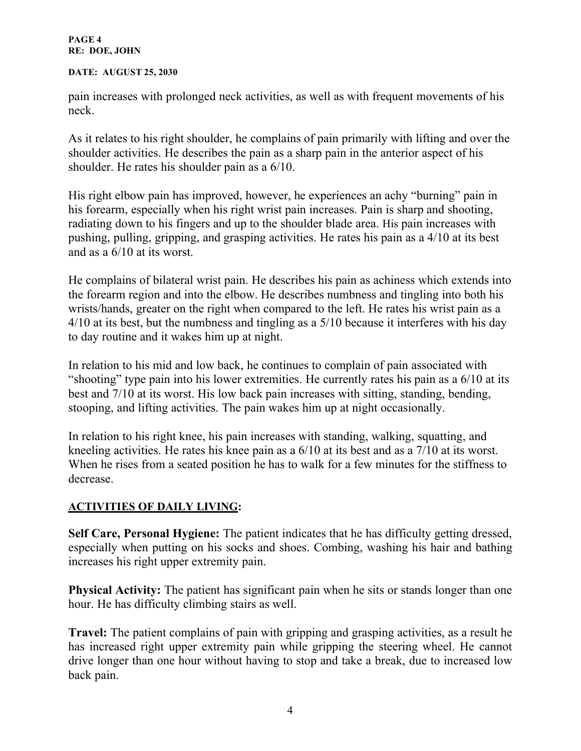#### **PAGE 4 RE: DOE, JOHN**

#### **DATE: AUGUST 25, 2030**

pain increases with prolonged neck activities, as well as with frequent movements of his neck.

As it relates to his right shoulder, he complains of pain primarily with lifting and over the shoulder activities. He describes the pain as a sharp pain in the anterior aspect of his shoulder. He rates his shoulder pain as a 6/10.

His right elbow pain has improved, however, he experiences an achy "burning" pain in his forearm, especially when his right wrist pain increases. Pain is sharp and shooting, radiating down to his fingers and up to the shoulder blade area. His pain increases with pushing, pulling, gripping, and grasping activities. He rates his pain as a 4/10 at its best and as a 6/10 at its worst.

He complains of bilateral wrist pain. He describes his pain as achiness which extends into the forearm region and into the elbow. He describes numbness and tingling into both his wrists/hands, greater on the right when compared to the left. He rates his wrist pain as a 4/10 at its best, but the numbness and tingling as a 5/10 because it interferes with his day to day routine and it wakes him up at night.

In relation to his mid and low back, he continues to complain of pain associated with "shooting" type pain into his lower extremities. He currently rates his pain as a 6/10 at its best and 7/10 at its worst. His low back pain increases with sitting, standing, bending, stooping, and lifting activities. The pain wakes him up at night occasionally.

In relation to his right knee, his pain increases with standing, walking, squatting, and kneeling activities. He rates his knee pain as a 6/10 at its best and as a 7/10 at its worst. When he rises from a seated position he has to walk for a few minutes for the stiffness to decrease.

## **ACTIVITIES OF DAILY LIVING:**

**Self Care, Personal Hygiene:** The patient indicates that he has difficulty getting dressed, especially when putting on his socks and shoes. Combing, washing his hair and bathing increases his right upper extremity pain.

**Physical Activity:** The patient has significant pain when he sits or stands longer than one hour. He has difficulty climbing stairs as well.

**Travel:** The patient complains of pain with gripping and grasping activities, as a result he has increased right upper extremity pain while gripping the steering wheel. He cannot drive longer than one hour without having to stop and take a break, due to increased low back pain.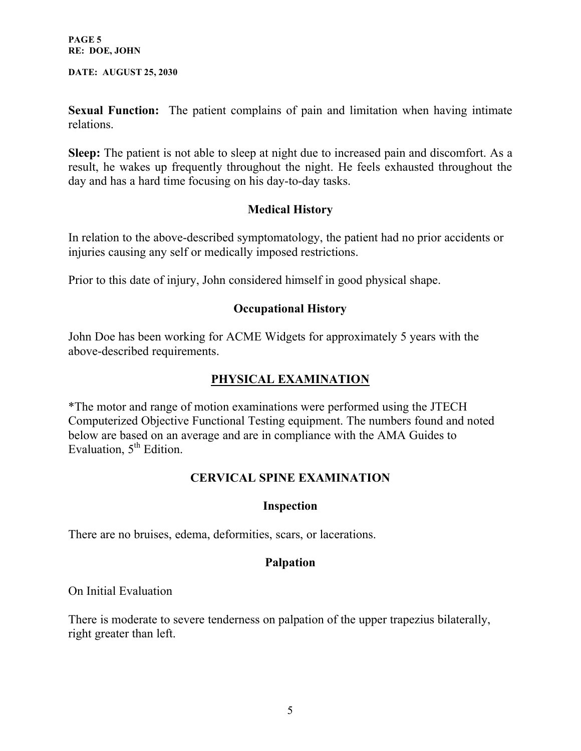**Sexual Function:** The patient complains of pain and limitation when having intimate relations.

**Sleep:** The patient is not able to sleep at night due to increased pain and discomfort. As a result, he wakes up frequently throughout the night. He feels exhausted throughout the day and has a hard time focusing on his day-to-day tasks.

## **Medical History**

In relation to the above-described symptomatology, the patient had no prior accidents or injuries causing any self or medically imposed restrictions.

Prior to this date of injury, John considered himself in good physical shape.

## **Occupational History**

John Doe has been working for ACME Widgets for approximately 5 years with the above-described requirements.

## **PHYSICAL EXAMINATION**

\*The motor and range of motion examinations were performed using the JTECH Computerized Objective Functional Testing equipment. The numbers found and noted below are based on an average and are in compliance with the AMA Guides to Evaluation,  $5<sup>th</sup>$  Edition.

## **CERVICAL SPINE EXAMINATION**

### **Inspection**

There are no bruises, edema, deformities, scars, or lacerations.

### **Palpation**

On Initial Evaluation

There is moderate to severe tenderness on palpation of the upper trapezius bilaterally, right greater than left.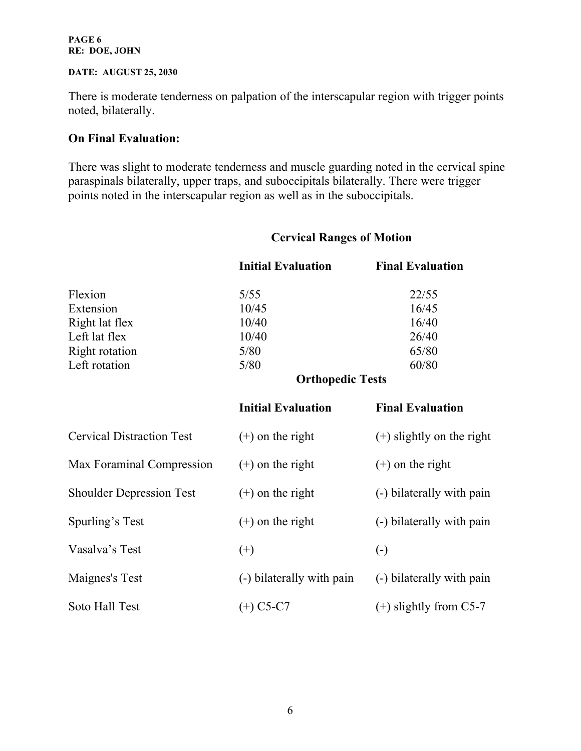#### **PAGE 6 RE: DOE, JOHN**

#### **DATE: AUGUST 25, 2030**

There is moderate tenderness on palpation of the interscapular region with trigger points noted, bilaterally.

## **On Final Evaluation:**

There was slight to moderate tenderness and muscle guarding noted in the cervical spine paraspinals bilaterally, upper traps, and suboccipitals bilaterally. There were trigger points noted in the interscapular region as well as in the suboccipitals.

|                                  | <b>Initial Evaluation</b> | <b>Final Evaluation</b>     |
|----------------------------------|---------------------------|-----------------------------|
| Flexion                          | 5/55                      | 22/55                       |
| Extension                        | 10/45                     | 16/45                       |
| Right lat flex                   | 10/40                     | 16/40                       |
| Left lat flex                    | 10/40                     | 26/40                       |
| <b>Right</b> rotation            | 5/80                      | 65/80                       |
| Left rotation                    | 5/80                      | 60/80                       |
|                                  | <b>Orthopedic Tests</b>   |                             |
|                                  | <b>Initial Evaluation</b> | <b>Final Evaluation</b>     |
| <b>Cervical Distraction Test</b> | $(+)$ on the right        | $(+)$ slightly on the right |
| Max Foraminal Compression        | $(+)$ on the right        | $(+)$ on the right          |
| <b>Shoulder Depression Test</b>  | $(+)$ on the right        | (-) bilaterally with pain   |
| Spurling's Test                  | $(+)$ on the right        | (-) bilaterally with pain   |
| Vasalva's Test                   | $^{(+)}$                  | $\left( \cdot \right)$      |
| Maignes's Test                   | (-) bilaterally with pain | (-) bilaterally with pain   |
| Soto Hall Test                   | $(+)$ C5-C7               | $(+)$ slightly from C5-7    |

## **Cervical Ranges of Motion**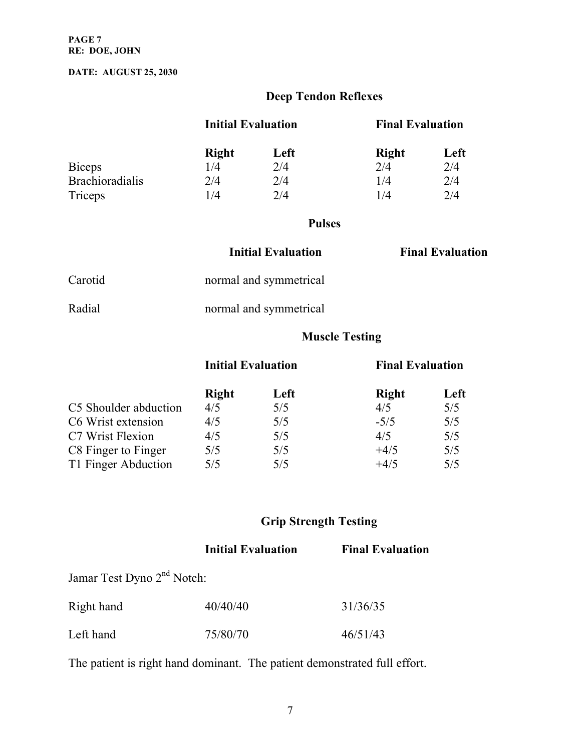**PAGE 7 RE: DOE, JOHN**

**DATE: AUGUST 25, 2030**

# **Deep Tendon Reflexes**

|                        | <b>Initial Evaluation</b> |      | <b>Final Evaluation</b> |      |
|------------------------|---------------------------|------|-------------------------|------|
|                        | <b>Right</b>              | Left | <b>Right</b>            | Left |
| <b>Biceps</b>          | 1/4                       | 2/4  | 2/4                     | 2/4  |
| <b>Brachioradialis</b> | 2/4                       | 2/4  | 1/4                     | 2/4  |
| Triceps                | 1/4                       | 2/4  | 1/4                     | 2/4  |

### **Pulses**

|         | <b>Initial Evaluation</b> | <b>Final Evaluation</b> |
|---------|---------------------------|-------------------------|
| Carotid | normal and symmetrical    |                         |
| Radial  | normal and symmetrical    |                         |

# **Muscle Testing**

|                       | <b>Initial Evaluation</b> |      | <b>Final Evaluation</b> |      |
|-----------------------|---------------------------|------|-------------------------|------|
|                       | <b>Right</b>              | Left | <b>Right</b>            | Left |
| C5 Shoulder abduction | 4/5                       | 5/5  | 4/5                     | 5/5  |
| C6 Wrist extension    | 4/5                       | 5/5  | $-5/5$                  | 5/5  |
| C7 Wrist Flexion      | 4/5                       | 5/5  | 4/5                     | 5/5  |
| C8 Finger to Finger   | 5/5                       | 5/5  | $+4/5$                  | 5/5  |
| T1 Finger Abduction   | 5/5                       | 5/5  | $+4/5$                  | 5/5  |

# **Grip Strength Testing**

|                                        | <b>Initial Evaluation</b> | <b>Final Evaluation</b> |
|----------------------------------------|---------------------------|-------------------------|
| Jamar Test Dyno 2 <sup>nd</sup> Notch: |                           |                         |
| Right hand                             | 40/40/40                  | 31/36/35                |
| Left hand                              | 75/80/70                  | 46/51/43                |

The patient is right hand dominant. The patient demonstrated full effort.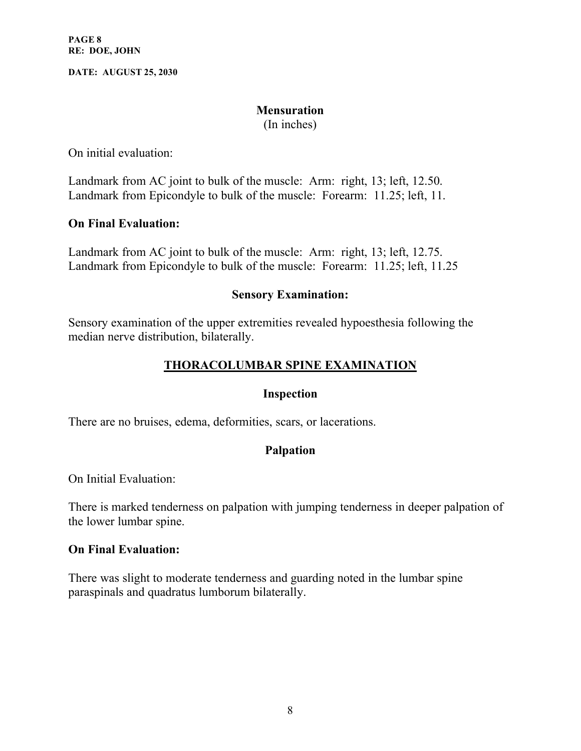**PAGE 8 RE: DOE, JOHN**

**DATE: AUGUST 25, 2030**

### **Mensuration**

(In inches)

On initial evaluation:

Landmark from AC joint to bulk of the muscle: Arm: right, 13; left, 12.50. Landmark from Epicondyle to bulk of the muscle: Forearm: 11.25; left, 11.

### **On Final Evaluation:**

Landmark from AC joint to bulk of the muscle: Arm: right, 13; left, 12.75. Landmark from Epicondyle to bulk of the muscle: Forearm: 11.25; left, 11.25

## **Sensory Examination:**

Sensory examination of the upper extremities revealed hypoesthesia following the median nerve distribution, bilaterally.

## **THORACOLUMBAR SPINE EXAMINATION**

### **Inspection**

There are no bruises, edema, deformities, scars, or lacerations.

## **Palpation**

On Initial Evaluation:

There is marked tenderness on palpation with jumping tenderness in deeper palpation of the lower lumbar spine.

### **On Final Evaluation:**

There was slight to moderate tenderness and guarding noted in the lumbar spine paraspinals and quadratus lumborum bilaterally.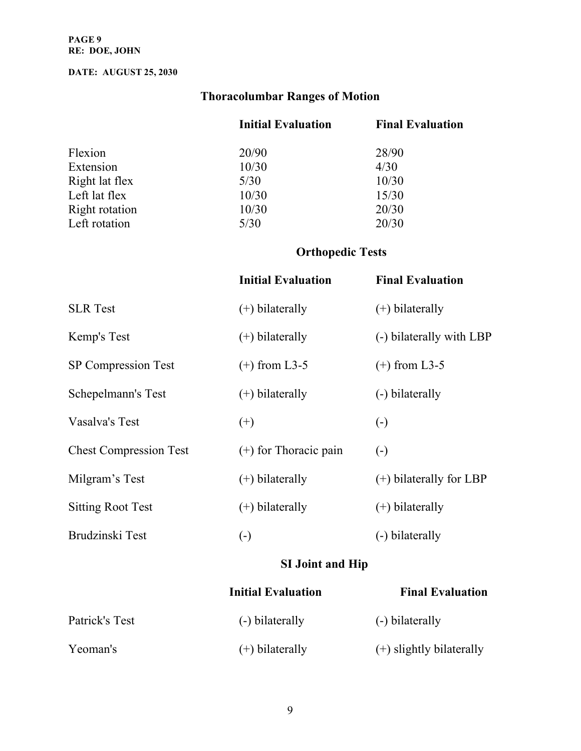#### **PAGE 9 RE: DOE, JOHN**

### **DATE: AUGUST 25, 2030**

# **Thoracolumbar Ranges of Motion**

| <b>Initial Evaluation</b> | <b>Final Evaluation</b> |
|---------------------------|-------------------------|
| 20/90                     | 28/90                   |
| 10/30                     | 4/30                    |
| 5/30                      | 10/30                   |
| 10/30                     | 15/30                   |
| 10/30                     | 20/30                   |
| 5/30                      | 20/30                   |
|                           |                         |

# **Orthopedic Tests**

|                               | <b>Initial Evaluation</b> | <b>Final Evaluation</b>   |
|-------------------------------|---------------------------|---------------------------|
| <b>SLR</b> Test               | $(+)$ bilaterally         | $(+)$ bilaterally         |
| Kemp's Test                   | $(+)$ bilaterally         | (-) bilaterally with LBP  |
| <b>SP Compression Test</b>    | $(+)$ from L3-5           | $(+)$ from L3-5           |
| Schepelmann's Test            | $(+)$ bilaterally         | (-) bilaterally           |
| Vasalva's Test                | $^{(+)}$                  | $\left( -\right)$         |
| <b>Chest Compression Test</b> | $(+)$ for Thoracic pain   | $\left( \cdot \right)$    |
| Milgram's Test                | $(+)$ bilaterally         | $(+)$ bilaterally for LBP |
| <b>Sitting Root Test</b>      | $(+)$ bilaterally         | $(+)$ bilaterally         |
| Brudzinski Test               | $\left( \text{-} \right)$ | (-) bilaterally           |
|                               | <b>SI Joint and Hip</b>   |                           |
|                               | <b>Initial Evaluation</b> | <b>Final Evaluation</b>   |

| Patrick's Test | (-) bilaterally   | (-) bilaterally          |
|----------------|-------------------|--------------------------|
| Yeoman's       | $(+)$ bilaterally | (+) slightly bilaterally |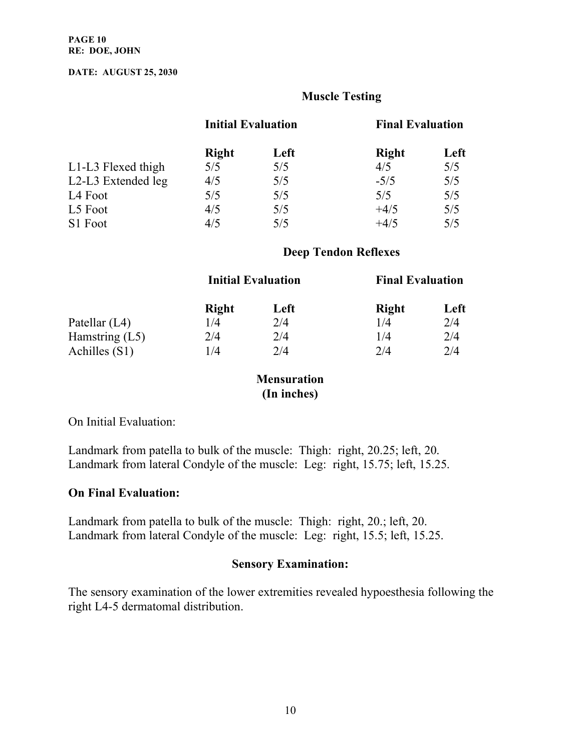## **Muscle Testing**

|                    | <b>Initial Evaluation</b> |      | <b>Final Evaluation</b> |      |
|--------------------|---------------------------|------|-------------------------|------|
|                    | <b>Right</b>              | Left | <b>Right</b>            | Left |
| L1-L3 Flexed thigh | 5/5                       | 5/5  | 4/5                     | 5/5  |
| L2-L3 Extended leg | 4/5                       | 5/5  | $-5/5$                  | 5/5  |
| L4 Foot            | 5/5                       | 5/5  | 5/5                     | 5/5  |
| L5 Foot            | 4/5                       | 5/5  | $+4/5$                  | 5/5  |
| S1 Foot            | 4/5                       | 5/5  | $+4/5$                  | 5/5  |

## **Deep Tendon Reflexes**

|                  | <b>Initial Evaluation</b> |      | <b>Final Evaluation</b> |      |
|------------------|---------------------------|------|-------------------------|------|
|                  | <b>Right</b>              | Left | <b>Right</b>            | Left |
| Patellar $(L4)$  | 1/4                       | 2/4  | 1/4                     | 2/4  |
| Hamstring $(L5)$ | 2/4                       | 2/4  | 1/4                     | 2/4  |
| Achilles (S1)    | 1/4                       | 2/4  | 2/4                     | 2/4  |

### **Mensuration (In inches)**

On Initial Evaluation:

Landmark from patella to bulk of the muscle: Thigh: right, 20.25; left, 20. Landmark from lateral Condyle of the muscle: Leg: right, 15.75; left, 15.25.

### **On Final Evaluation:**

Landmark from patella to bulk of the muscle: Thigh: right, 20.; left, 20. Landmark from lateral Condyle of the muscle: Leg: right, 15.5; left, 15.25.

### **Sensory Examination:**

The sensory examination of the lower extremities revealed hypoesthesia following the right L4-5 dermatomal distribution.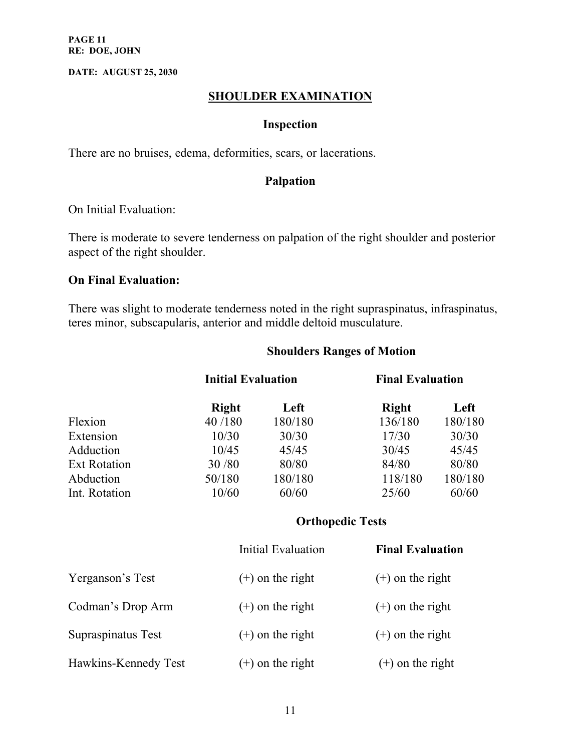**PAGE 11 RE: DOE, JOHN**

**DATE: AUGUST 25, 2030**

## **SHOULDER EXAMINATION**

### **Inspection**

There are no bruises, edema, deformities, scars, or lacerations.

## **Palpation**

On Initial Evaluation:

There is moderate to severe tenderness on palpation of the right shoulder and posterior aspect of the right shoulder.

### **On Final Evaluation:**

There was slight to moderate tenderness noted in the right supraspinatus, infraspinatus, teres minor, subscapularis, anterior and middle deltoid musculature.

|                     | <b>Initial Evaluation</b> |         | <b>Final Evaluation</b> |         |
|---------------------|---------------------------|---------|-------------------------|---------|
|                     | <b>Right</b>              | Left    | <b>Right</b>            | Left    |
| Flexion             | 40/180                    | 180/180 | 136/180                 | 180/180 |
| Extension           | 10/30                     | 30/30   | 17/30                   | 30/30   |
| Adduction           | 10/45                     | 45/45   | 30/45                   | 45/45   |
| <b>Ext Rotation</b> | 30/80                     | 80/80   | 84/80                   | 80/80   |
| Abduction           | 50/180                    | 180/180 | 118/180                 | 180/180 |
| Int. Rotation       | 10/60                     | 60/60   | 25/60                   | 60/60   |
|                     |                           |         |                         |         |

## **Shoulders Ranges of Motion**

### **Orthopedic Tests**

|                      | Initial Evaluation | <b>Final Evaluation</b> |
|----------------------|--------------------|-------------------------|
| Yerganson's Test     | $(+)$ on the right | $(+)$ on the right      |
| Codman's Drop Arm    | $(+)$ on the right | $(+)$ on the right      |
| Supraspinatus Test   | $(+)$ on the right | $(+)$ on the right      |
| Hawkins-Kennedy Test | $(+)$ on the right | $(+)$ on the right      |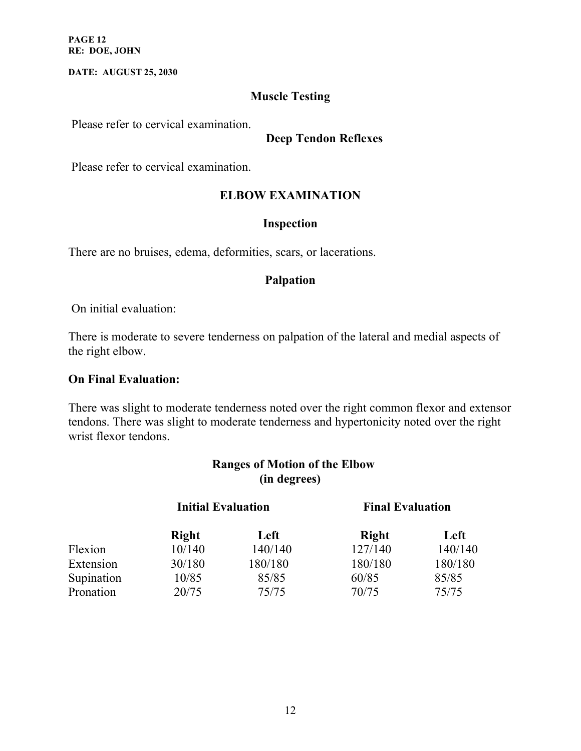**PAGE 12 RE: DOE, JOHN**

**DATE: AUGUST 25, 2030**

## **Muscle Testing**

Please refer to cervical examination.

### **Deep Tendon Reflexes**

Please refer to cervical examination.

## **ELBOW EXAMINATION**

### **Inspection**

There are no bruises, edema, deformities, scars, or lacerations.

## **Palpation**

On initial evaluation:

There is moderate to severe tenderness on palpation of the lateral and medial aspects of the right elbow.

### **On Final Evaluation:**

There was slight to moderate tenderness noted over the right common flexor and extensor tendons. There was slight to moderate tenderness and hypertonicity noted over the right wrist flexor tendons.

| <b>Ranges of Motion of the Elbow</b><br>(in degrees) |                           |         |                         |         |
|------------------------------------------------------|---------------------------|---------|-------------------------|---------|
|                                                      | <b>Initial Evaluation</b> |         | <b>Final Evaluation</b> |         |
|                                                      | <b>Right</b>              | Left    | <b>Right</b>            | Left    |
| Flexion                                              | 10/140                    | 140/140 | 127/140                 | 140/140 |
| Extension                                            | 30/180                    | 180/180 | 180/180                 | 180/180 |
| Supination                                           | 10/85                     | 85/85   | 60/85                   | 85/85   |
| Pronation                                            | 20/75                     | 75/75   | 70/75                   | 75/75   |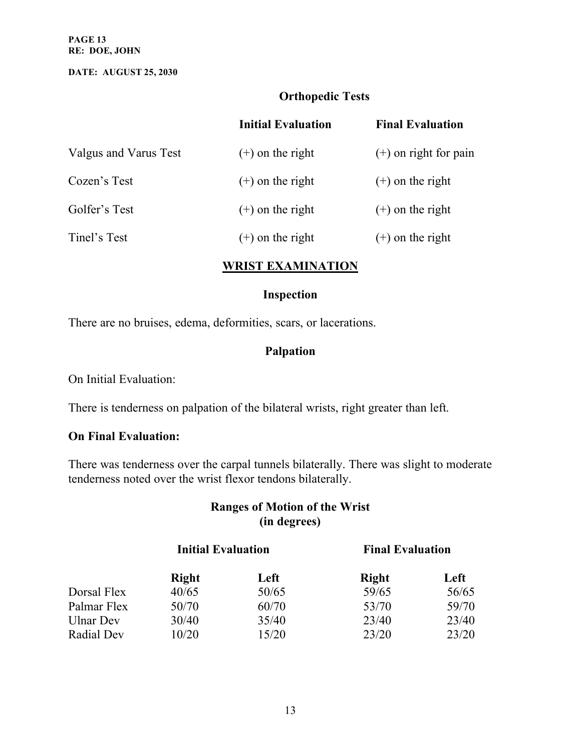**PAGE 13 RE: DOE, JOHN**

**DATE: AUGUST 25, 2030**

## **Orthopedic Tests**

|                       | <b>Initial Evaluation</b> | <b>Final Evaluation</b> |
|-----------------------|---------------------------|-------------------------|
| Valgus and Varus Test | $(+)$ on the right        | $(+)$ on right for pain |
| Cozen's Test          | $(+)$ on the right        | $(+)$ on the right      |
| Golfer's Test         | $(+)$ on the right        | $(+)$ on the right      |
| Tinel's Test          | $(+)$ on the right        | $(+)$ on the right      |

### **WRIST EXAMINATION**

## **Inspection**

There are no bruises, edema, deformities, scars, or lacerations.

# **Palpation**

On Initial Evaluation:

There is tenderness on palpation of the bilateral wrists, right greater than left.

### **On Final Evaluation:**

There was tenderness over the carpal tunnels bilaterally. There was slight to moderate tenderness noted over the wrist flexor tendons bilaterally.

## **Ranges of Motion of the Wrist (in degrees)**

| <b>Initial Evaluation</b> |       | <b>Final Evaluation</b> |       |  |
|---------------------------|-------|-------------------------|-------|--|
| <b>Right</b>              | Left  | <b>Right</b>            | Left  |  |
| 40/65                     | 50/65 | 59/65                   | 56/65 |  |
| 50/70                     | 60/70 | 53/70                   | 59/70 |  |
| 30/40                     | 35/40 | 23/40                   | 23/40 |  |
| 10/20                     | 15/20 | 23/20                   | 23/20 |  |
|                           |       |                         |       |  |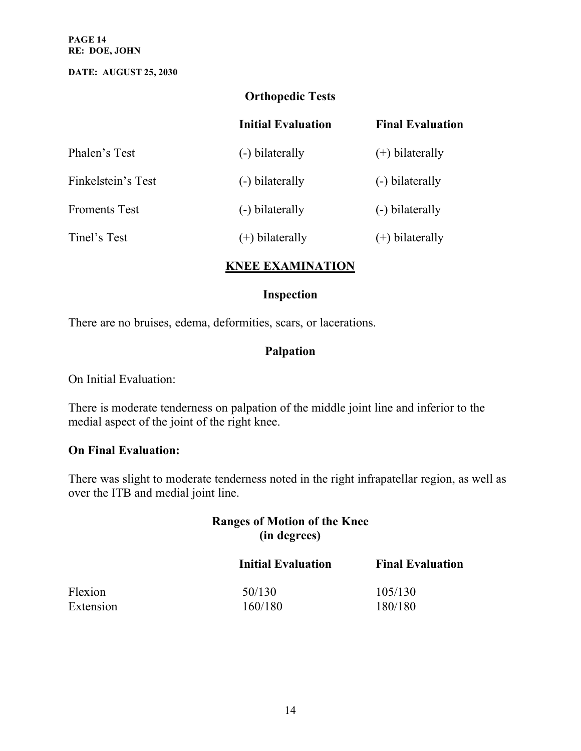**PAGE 14 RE: DOE, JOHN**

**DATE: AUGUST 25, 2030**

## **Orthopedic Tests**

|                      | <b>Initial Evaluation</b> | <b>Final Evaluation</b> |
|----------------------|---------------------------|-------------------------|
| Phalen's Test        | (-) bilaterally           | $(+)$ bilaterally       |
| Finkelstein's Test   | (-) bilaterally           | (-) bilaterally         |
| <b>Froments Test</b> | (-) bilaterally           | (-) bilaterally         |
| Tinel's Test         | $(+)$ bilaterally         | $(+)$ bilaterally       |

### **KNEE EXAMINATION**

## **Inspection**

There are no bruises, edema, deformities, scars, or lacerations.

## **Palpation**

On Initial Evaluation:

There is moderate tenderness on palpation of the middle joint line and inferior to the medial aspect of the joint of the right knee.

## **On Final Evaluation:**

There was slight to moderate tenderness noted in the right infrapatellar region, as well as over the ITB and medial joint line.

## **Ranges of Motion of the Knee (in degrees)**

|           | <b>Initial Evaluation</b> | <b>Final Evaluation</b> |  |
|-----------|---------------------------|-------------------------|--|
| Flexion   | 50/130                    | 105/130                 |  |
| Extension | 160/180                   | 180/180                 |  |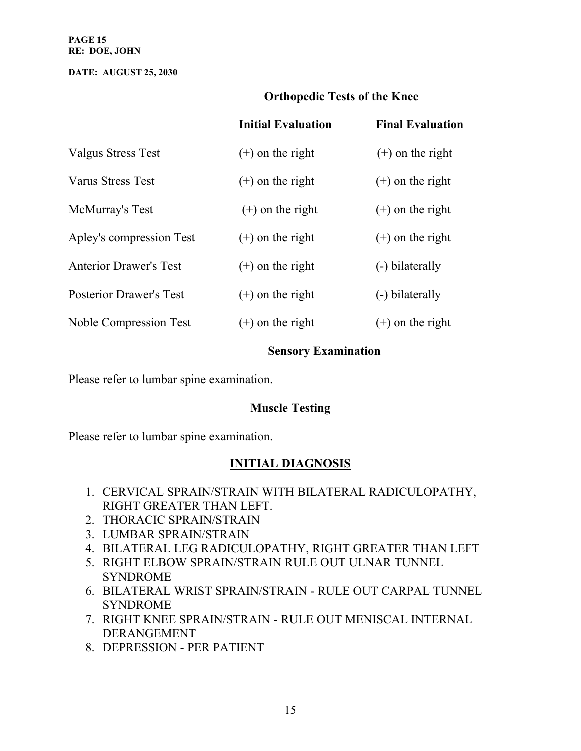**PAGE 15 RE: DOE, JOHN**

**DATE: AUGUST 25, 2030**

## **Orthopedic Tests of the Knee**

|                                | <b>Initial Evaluation</b> | <b>Final Evaluation</b> |
|--------------------------------|---------------------------|-------------------------|
| Valgus Stress Test             | $(+)$ on the right        | $(+)$ on the right      |
| <b>Varus Stress Test</b>       | $(+)$ on the right        | $(+)$ on the right      |
| McMurray's Test                | $(+)$ on the right        | $(+)$ on the right      |
| Apley's compression Test       | $(+)$ on the right        | $(+)$ on the right      |
| <b>Anterior Drawer's Test</b>  | $(+)$ on the right        | (-) bilaterally         |
| <b>Posterior Drawer's Test</b> | $(+)$ on the right        | (-) bilaterally         |
| Noble Compression Test         | $(+)$ on the right        | $(+)$ on the right      |
|                                |                           |                         |

## **Sensory Examination**

Please refer to lumbar spine examination.

## **Muscle Testing**

Please refer to lumbar spine examination.

## **INITIAL DIAGNOSIS**

- 1. CERVICAL SPRAIN/STRAIN WITH BILATERAL RADICULOPATHY, RIGHT GREATER THAN LEFT.
- 2. THORACIC SPRAIN/STRAIN
- 3. LUMBAR SPRAIN/STRAIN
- 4. BILATERAL LEG RADICULOPATHY, RIGHT GREATER THAN LEFT
- 5. RIGHT ELBOW SPRAIN/STRAIN RULE OUT ULNAR TUNNEL SYNDROME
- 6. BILATERAL WRIST SPRAIN/STRAIN RULE OUT CARPAL TUNNEL SYNDROME
- 7. RIGHT KNEE SPRAIN/STRAIN RULE OUT MENISCAL INTERNAL DERANGEMENT
- 8. DEPRESSION PER PATIENT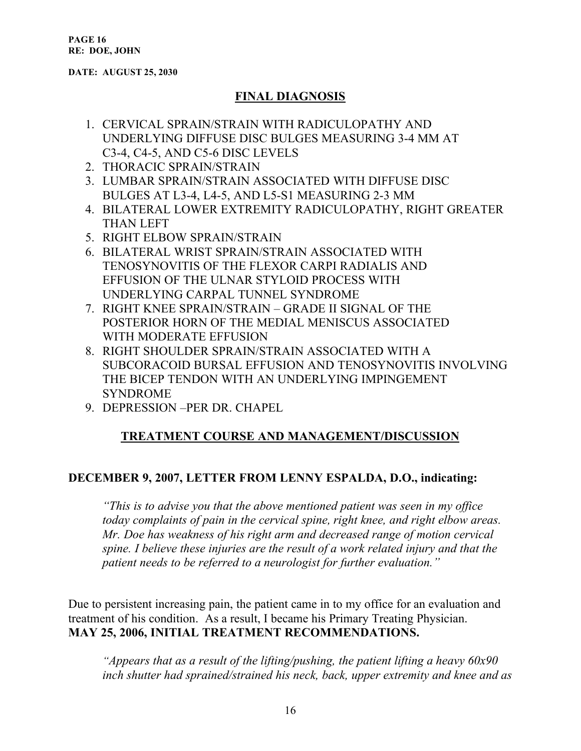**PAGE 16 RE: DOE, JOHN**

**DATE: AUGUST 25, 2030**

## **FINAL DIAGNOSIS**

- 1. CERVICAL SPRAIN/STRAIN WITH RADICULOPATHY AND UNDERLYING DIFFUSE DISC BULGES MEASURING 3-4 MM AT C3-4, C4-5, AND C5-6 DISC LEVELS
- 2. THORACIC SPRAIN/STRAIN
- 3. LUMBAR SPRAIN/STRAIN ASSOCIATED WITH DIFFUSE DISC BULGES AT L3-4, L4-5, AND L5-S1 MEASURING 2-3 MM
- 4. BILATERAL LOWER EXTREMITY RADICULOPATHY, RIGHT GREATER THAN LEFT
- 5. RIGHT ELBOW SPRAIN/STRAIN
- 6. BILATERAL WRIST SPRAIN/STRAIN ASSOCIATED WITH TENOSYNOVITIS OF THE FLEXOR CARPI RADIALIS AND EFFUSION OF THE ULNAR STYLOID PROCESS WITH UNDERLYING CARPAL TUNNEL SYNDROME
- 7. RIGHT KNEE SPRAIN/STRAIN GRADE II SIGNAL OF THE POSTERIOR HORN OF THE MEDIAL MENISCUS ASSOCIATED WITH MODERATE EFFUSION
- 8. RIGHT SHOULDER SPRAIN/STRAIN ASSOCIATED WITH A SUBCORACOID BURSAL EFFUSION AND TENOSYNOVITIS INVOLVING THE BICEP TENDON WITH AN UNDERLYING IMPINGEMENT SYNDROME
- 9. DEPRESSION –PER DR. CHAPEL

### **TREATMENT COURSE AND MANAGEMENT/DISCUSSION**

### **DECEMBER 9, 2007, LETTER FROM LENNY ESPALDA, D.O., indicating:**

*"This is to advise you that the above mentioned patient was seen in my office today complaints of pain in the cervical spine, right knee, and right elbow areas. Mr. Doe has weakness of his right arm and decreased range of motion cervical spine. I believe these injuries are the result of a work related injury and that the patient needs to be referred to a neurologist for further evaluation."* 

Due to persistent increasing pain, the patient came in to my office for an evaluation and treatment of his condition. As a result, I became his Primary Treating Physician. **MAY 25, 2006, INITIAL TREATMENT RECOMMENDATIONS.**

*"Appears that as a result of the lifting/pushing, the patient lifting a heavy 60x90 inch shutter had sprained/strained his neck, back, upper extremity and knee and as*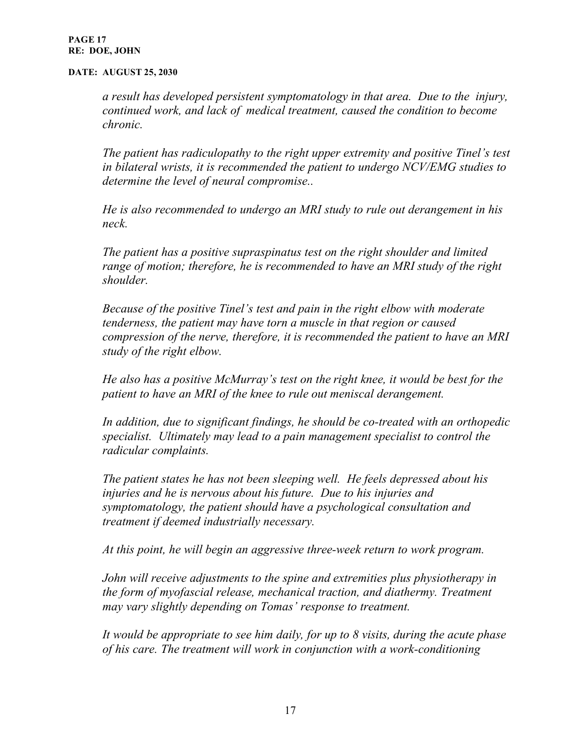*a result has developed persistent symptomatology in that area. Due to the injury, continued work, and lack of medical treatment, caused the condition to become chronic.*

*The patient has radiculopathy to the right upper extremity and positive Tinel's test in bilateral wrists, it is recommended the patient to undergo NCV/EMG studies to determine the level of neural compromise..*

*He is also recommended to undergo an MRI study to rule out derangement in his neck.*

*The patient has a positive supraspinatus test on the right shoulder and limited range of motion; therefore, he is recommended to have an MRI study of the right shoulder.*

*Because of the positive Tinel's test and pain in the right elbow with moderate tenderness, the patient may have torn a muscle in that region or caused compression of the nerve, therefore, it is recommended the patient to have an MRI study of the right elbow.*

*He also has a positive McMurray's test on the right knee, it would be best for the patient to have an MRI of the knee to rule out meniscal derangement.*

*In addition, due to significant findings, he should be co-treated with an orthopedic specialist. Ultimately may lead to a pain management specialist to control the radicular complaints.*

*The patient states he has not been sleeping well. He feels depressed about his injuries and he is nervous about his future. Due to his injuries and symptomatology, the patient should have a psychological consultation and treatment if deemed industrially necessary.*

*At this point, he will begin an aggressive three-week return to work program.*

*John will receive adjustments to the spine and extremities plus physiotherapy in the form of myofascial release, mechanical traction, and diathermy. Treatment may vary slightly depending on Tomas' response to treatment.*

*It would be appropriate to see him daily, for up to 8 visits, during the acute phase of his care. The treatment will work in conjunction with a work-conditioning*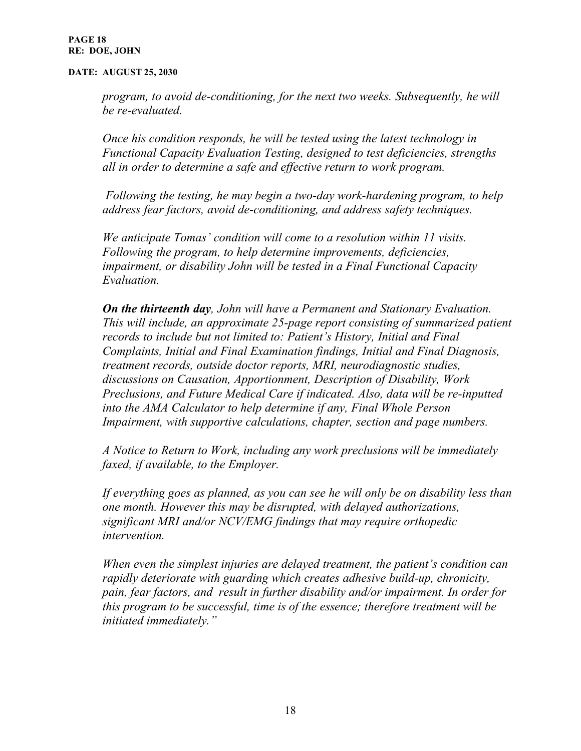*program, to avoid de-conditioning, for the next two weeks. Subsequently, he will be re-evaluated.*

*Once his condition responds, he will be tested using the latest technology in Functional Capacity Evaluation Testing, designed to test deficiencies, strengths all in order to determine a safe and effective return to work program.*

*Following the testing, he may begin a two-day work-hardening program, to help address fear factors, avoid de-conditioning, and address safety techniques.*

*We anticipate Tomas' condition will come to a resolution within 11 visits. Following the program, to help determine improvements, deficiencies, impairment, or disability John will be tested in a Final Functional Capacity Evaluation.*

*On the thirteenth day, John will have a Permanent and Stationary Evaluation. This will include, an approximate 25-page report consisting of summarized patient records to include but not limited to: Patient's History, Initial and Final Complaints, Initial and Final Examination findings, Initial and Final Diagnosis, treatment records, outside doctor reports, MRI, neurodiagnostic studies, discussions on Causation, Apportionment, Description of Disability, Work Preclusions, and Future Medical Care if indicated. Also, data will be re-inputted into the AMA Calculator to help determine if any, Final Whole Person Impairment, with supportive calculations, chapter, section and page numbers.*

*A Notice to Return to Work, including any work preclusions will be immediately faxed, if available, to the Employer.*

*If everything goes as planned, as you can see he will only be on disability less than one month. However this may be disrupted, with delayed authorizations, significant MRI and/or NCV/EMG findings that may require orthopedic intervention.*

*When even the simplest injuries are delayed treatment, the patient's condition can rapidly deteriorate with guarding which creates adhesive build-up, chronicity, pain, fear factors, and result in further disability and/or impairment. In order for this program to be successful, time is of the essence; therefore treatment will be initiated immediately."*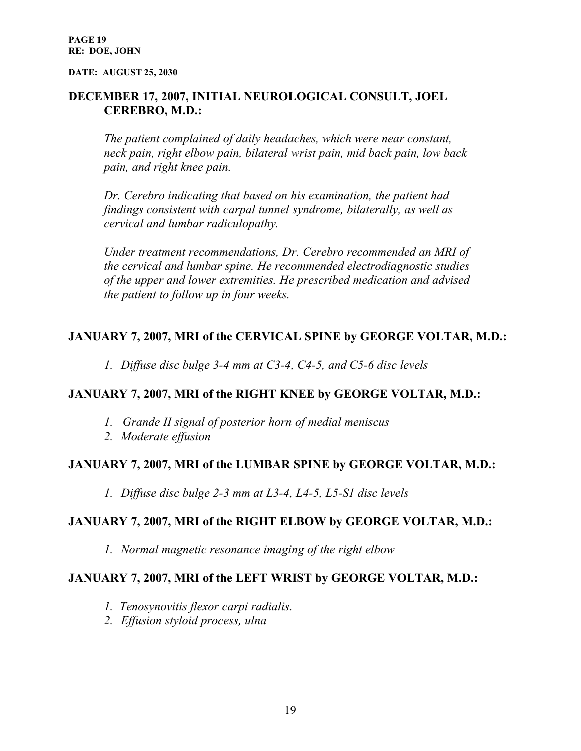### **DECEMBER 17, 2007, INITIAL NEUROLOGICAL CONSULT, JOEL CEREBRO, M.D.:**

*The patient complained of daily headaches, which were near constant, neck pain, right elbow pain, bilateral wrist pain, mid back pain, low back pain, and right knee pain.*

*Dr. Cerebro indicating that based on his examination, the patient had findings consistent with carpal tunnel syndrome, bilaterally, as well as cervical and lumbar radiculopathy.*

*Under treatment recommendations, Dr. Cerebro recommended an MRI of the cervical and lumbar spine. He recommended electrodiagnostic studies of the upper and lower extremities. He prescribed medication and advised the patient to follow up in four weeks.*

## **JANUARY 7, 2007, MRI of the CERVICAL SPINE by GEORGE VOLTAR, M.D.:**

*1. Diffuse disc bulge 3-4 mm at C3-4, C4-5, and C5-6 disc levels*

## **JANUARY 7, 2007, MRI of the RIGHT KNEE by GEORGE VOLTAR, M.D.:**

- *1. Grande II signal of posterior horn of medial meniscus*
- *2. Moderate effusion*

## **JANUARY 7, 2007, MRI of the LUMBAR SPINE by GEORGE VOLTAR, M.D.:**

*1. Diffuse disc bulge 2-3 mm at L3-4, L4-5, L5-S1 disc levels*

### **JANUARY 7, 2007, MRI of the RIGHT ELBOW by GEORGE VOLTAR, M.D.:**

*1. Normal magnetic resonance imaging of the right elbow*

## **JANUARY 7, 2007, MRI of the LEFT WRIST by GEORGE VOLTAR, M.D.:**

- *1. Tenosynovitis flexor carpi radialis.*
- *2. Effusion styloid process, ulna*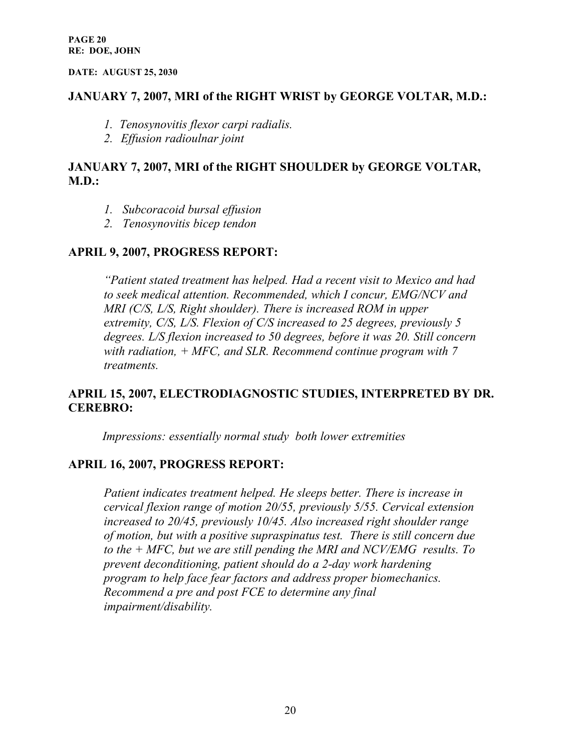### **JANUARY 7, 2007, MRI of the RIGHT WRIST by GEORGE VOLTAR, M.D.:**

- *1. Tenosynovitis flexor carpi radialis.*
- *2. Effusion radioulnar joint*

## **JANUARY 7, 2007, MRI of the RIGHT SHOULDER by GEORGE VOLTAR, M.D.:**

- *1. Subcoracoid bursal effusion*
- *2. Tenosynovitis bicep tendon*

### **APRIL 9, 2007, PROGRESS REPORT:**

*"Patient stated treatment has helped. Had a recent visit to Mexico and had to seek medical attention. Recommended, which I concur, EMG/NCV and MRI (C/S, L/S, Right shoulder). There is increased ROM in upper extremity, C/S, L/S. Flexion of C/S increased to 25 degrees, previously 5 degrees. L/S flexion increased to 50 degrees, before it was 20. Still concern with radiation, + MFC, and SLR. Recommend continue program with 7 treatments.*

## **APRIL 15, 2007, ELECTRODIAGNOSTIC STUDIES, INTERPRETED BY DR. CEREBRO:**

*Impressions: essentially normal study both lower extremities*

### **APRIL 16, 2007, PROGRESS REPORT:**

*Patient indicates treatment helped. He sleeps better. There is increase in cervical flexion range of motion 20/55, previously 5/55. Cervical extension increased to 20/45, previously 10/45. Also increased right shoulder range of motion, but with a positive supraspinatus test. There is still concern due to the + MFC, but we are still pending the MRI and NCV/EMG results. To prevent deconditioning, patient should do a 2-day work hardening program to help face fear factors and address proper biomechanics. Recommend a pre and post FCE to determine any final impairment/disability.*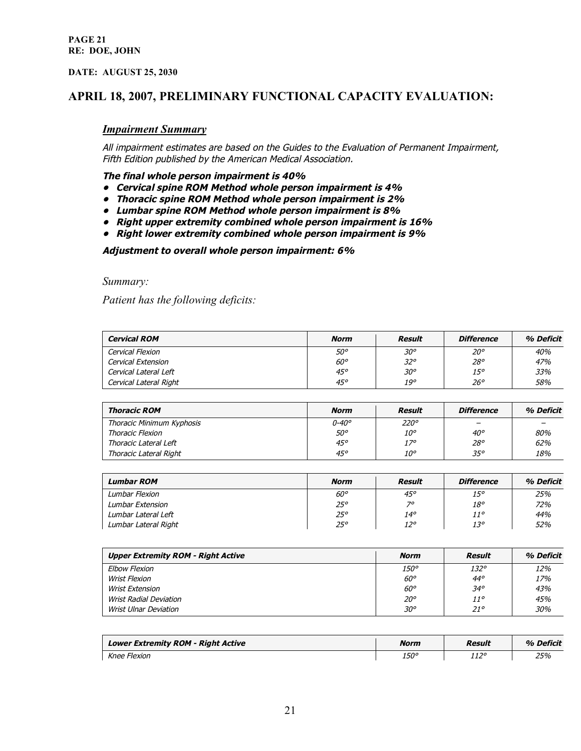### **APRIL 18, 2007, PRELIMINARY FUNCTIONAL CAPACITY EVALUATION:**

#### *Impairment Summary*

All impairment estimates are based on the Guides to the Evaluation of Permanent Impairment, Fifth Edition published by the American Medical Association.

#### **The final whole person impairment is 40%**

- **• Cervical spine ROM Method whole person impairment is 4%**
- **• Thoracic spine ROM Method whole person impairment is 2%**
- **• Lumbar spine ROM Method whole person impairment is 8%**
- **• Right upper extremity combined whole person impairment is 16%**
- **• Right lower extremity combined whole person impairment is 9%**

**Adjustment to overall whole person impairment: 6%**

*Summary:*

*Patient has the following deficits:*

| <b>Cervical ROM</b>    | <b>Norm</b> | Result       | <b>Difference</b> | % Deficit |
|------------------------|-------------|--------------|-------------------|-----------|
| Cervical Flexion       | 50°         | 30°          | $20^{\circ}$      | 40%       |
| Cervical Extension     | 60°         | 32°          | 28°               | 47%       |
| Cervical Lateral Left  | 45°         | $30^{\circ}$ | 15°               | 33%       |
| Cervical Lateral Right | $45^\circ$  | 19°          | $26^{\circ}$      | 58%       |

| <b>Thoracic ROM</b>          | <b>Norm</b>      | Result       | <b>Difference</b> | % Deficit |
|------------------------------|------------------|--------------|-------------------|-----------|
| Thoracic Minimum Kyphosis    | $0 - 40^{\circ}$ | $220^\circ$  |                   |           |
| Thoracic Flexion             | 50°              | $10^{\circ}$ | 40°               | 80%       |
| <b>Thoracic Lateral Left</b> | $45^\circ$       | $17^\circ$   | 28°               | 62%       |
| Thoracic Lateral Right       | $45^\circ$       | $10^{\circ}$ | 35°               | 18%       |

| <b>Lumbar ROM</b>    | <b>Norm</b>  | Result     | <b>Difference</b> | % Deficit |
|----------------------|--------------|------------|-------------------|-----------|
| Lumbar Flexion       | 60°          | $45^\circ$ | $15^\circ$        | 25%       |
| Lumbar Extension     | 25°          | 70         | 18°               | 72%       |
| Lumbar Lateral Left  | $25^{\circ}$ | 14°        | $11^{\circ}$      | 44%       |
| Lumbar Lateral Right | 25°          | 12°        | $13^\circ$        | 52%       |

| <b>Upper Extremity ROM - Right Active</b> | Norm         | Result       | % Deficit |
|-------------------------------------------|--------------|--------------|-----------|
| <b>Elbow Flexion</b>                      | <i>150°</i>  | 132°         | 12%       |
| Wrist Flexion                             | 60°          | 44°          | 17%       |
| Wrist Extension                           | 60°          | $34^\circ$   | 43%       |
| Wrist Radial Deviation                    | $20^{\circ}$ | $11^{\circ}$ | 45%       |
| Wrist Ulnar Deviation                     | $30^\circ$   | 21°          | 30%       |

| <b>Lower Extremity ROM - Right Active</b> | <b>Norm</b> | Result        | % Deficit |
|-------------------------------------------|-------------|---------------|-----------|
| Knee Flexion                              | 150°        | 1170<br>⊥ ⊥ ∠ | 25%       |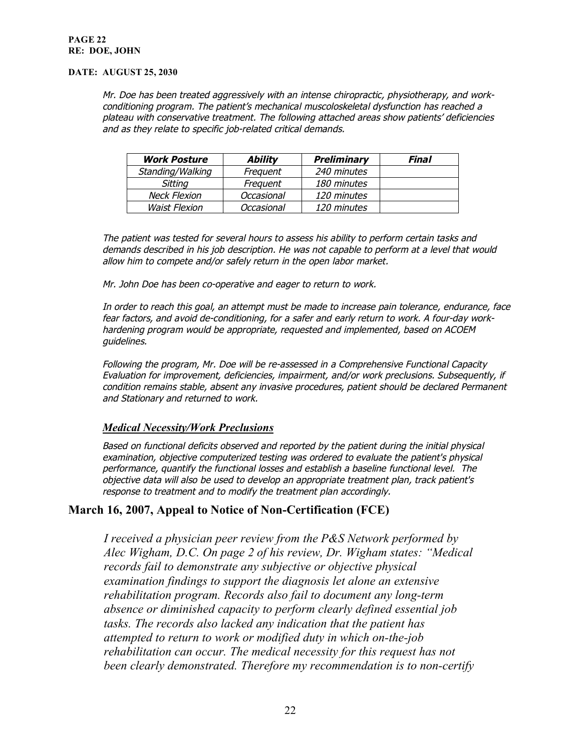Mr. Doe has been treated aggressively with an intense chiropractic, physiotherapy, and workconditioning program. The patient's mechanical muscoloskeletal dysfunction has reached <sup>a</sup> plateau with conservative treatment. The following attached areas show patients' deficiencies and as they relate to specific job-related critical demands.

| <b>Work Posture</b>  | Ability           | <b>Preliminary</b> | Final |
|----------------------|-------------------|--------------------|-------|
| Standing/Walking     | Frequent          | 240 minutes        |       |
| <b>Sitting</b>       | Frequent          | 180 minutes        |       |
| <b>Neck Flexion</b>  | <b>Occasional</b> | 120 minutes        |       |
| <b>Waist Flexion</b> | <b>Occasional</b> | 120 minutes        |       |

The patient was tested for several hours to assess his ability to perform certain tasks and demands described in his job description. He was not capable to perform at <sup>a</sup> level that would allow him to compete and/or safely return in the open labor market.

Mr. John Doe has been co-operative and eager to return to work.

In order to reach this goal, an attempt must be made to increase pain tolerance, endurance, face fear factors, and avoid de-conditioning, for <sup>a</sup> safer and early return to work. A four-day workhardening program would be appropriate, requested and implemented, based on ACOEM guidelines.

Following the program, Mr. Doe will be re-assessed in <sup>a</sup> Comprehensive Functional Capacity Evaluation for improvement, deficiencies, impairment, and/or work preclusions. Subsequently, if condition remains stable, absent any invasive procedures, patient should be declared Permanent and Stationary and returned to work.

#### *Medical Necessity/Work Preclusions*

Based on functional deficits observed and reported by the patient during the initial physical examination, objective computerized testing was ordered to evaluate the patient's physical performance, quantify the functional losses and establish <sup>a</sup> baseline functional level. The objective data will also be used to develop an appropriate treatment plan, track patient's response to treatment and to modify the treatment plan accordingly.

### **March 16, 2007, Appeal to Notice of Non-Certification (FCE)**

*I received a physician peer review from the P&S Network performed by Alec Wigham, D.C. On page 2 of his review, Dr. Wigham states: "Medical records fail to demonstrate any subjective or objective physical examination findings to support the diagnosis let alone an extensive rehabilitation program. Records also fail to document any long-term absence or diminished capacity to perform clearly defined essential job tasks. The records also lacked any indication that the patient has attempted to return to work or modified duty in which on-the-job rehabilitation can occur. The medical necessity for this request has not been clearly demonstrated. Therefore my recommendation is to non-certify*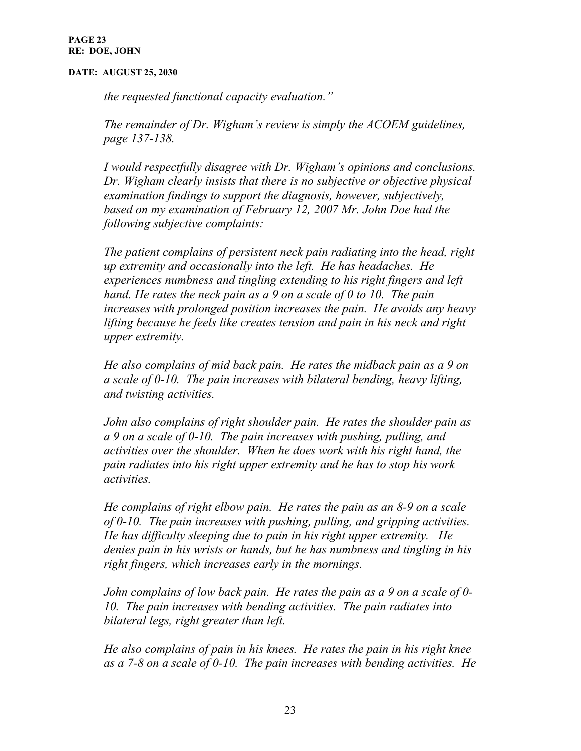*the requested functional capacity evaluation."*

*The remainder of Dr. Wigham's review is simply the ACOEM guidelines, page 137-138.*

*I would respectfully disagree with Dr. Wigham's opinions and conclusions. Dr. Wigham clearly insists that there is no subjective or objective physical examination findings to support the diagnosis, however, subjectively, based on my examination of February 12, 2007 Mr. John Doe had the following subjective complaints:* 

*The patient complains of persistent neck pain radiating into the head, right up extremity and occasionally into the left. He has headaches. He experiences numbness and tingling extending to his right fingers and left hand. He rates the neck pain as a 9 on a scale of 0 to 10. The pain increases with prolonged position increases the pain. He avoids any heavy lifting because he feels like creates tension and pain in his neck and right upper extremity.*

*He also complains of mid back pain. He rates the midback pain as a 9 on a scale of 0-10. The pain increases with bilateral bending, heavy lifting, and twisting activities.*

*John also complains of right shoulder pain. He rates the shoulder pain as a 9 on a scale of 0-10. The pain increases with pushing, pulling, and activities over the shoulder. When he does work with his right hand, the pain radiates into his right upper extremity and he has to stop his work activities.*

*He complains of right elbow pain. He rates the pain as an 8-9 on a scale of 0-10. The pain increases with pushing, pulling, and gripping activities. He has difficulty sleeping due to pain in his right upper extremity. He denies pain in his wrists or hands, but he has numbness and tingling in his right fingers, which increases early in the mornings.*

*John complains of low back pain. He rates the pain as a 9 on a scale of 0- 10. The pain increases with bending activities. The pain radiates into bilateral legs, right greater than left.*

*He also complains of pain in his knees. He rates the pain in his right knee as a 7-8 on a scale of 0-10. The pain increases with bending activities. He*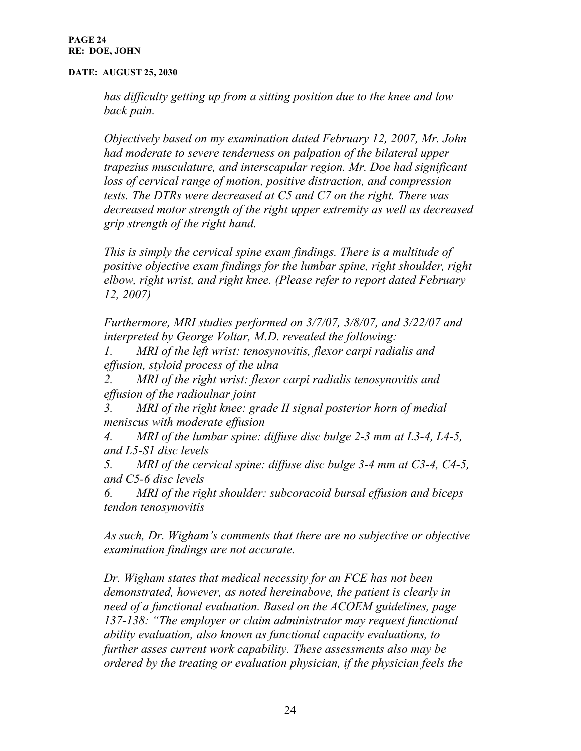*has difficulty getting up from a sitting position due to the knee and low back pain.*

*Objectively based on my examination dated February 12, 2007, Mr. John had moderate to severe tenderness on palpation of the bilateral upper trapezius musculature, and interscapular region. Mr. Doe had significant loss of cervical range of motion, positive distraction, and compression tests. The DTRs were decreased at C5 and C7 on the right. There was decreased motor strength of the right upper extremity as well as decreased grip strength of the right hand.*

*This is simply the cervical spine exam findings. There is a multitude of positive objective exam findings for the lumbar spine, right shoulder, right elbow, right wrist, and right knee. (Please refer to report dated February 12, 2007)*

*Furthermore, MRI studies performed on 3/7/07, 3/8/07, and 3/22/07 and interpreted by George Voltar, M.D. revealed the following:*

*1. MRI of the left wrist: tenosynovitis, flexor carpi radialis and effusion, styloid process of the ulna*

*2. MRI of the right wrist: flexor carpi radialis tenosynovitis and effusion of the radioulnar joint*

*3. MRI of the right knee: grade II signal posterior horn of medial meniscus with moderate effusion*

*4. MRI of the lumbar spine: diffuse disc bulge 2-3 mm at L3-4, L4-5, and L5-S1 disc levels*

*5. MRI of the cervical spine: diffuse disc bulge 3-4 mm at C3-4, C4-5, and C5-6 disc levels*

*6. MRI of the right shoulder: subcoracoid bursal effusion and biceps tendon tenosynovitis*

*As such, Dr. Wigham's comments that there are no subjective or objective examination findings are not accurate.*

*Dr. Wigham states that medical necessity for an FCE has not been demonstrated, however, as noted hereinabove, the patient is clearly in need of a functional evaluation. Based on the ACOEM guidelines, page 137-138: "The employer or claim administrator may request functional ability evaluation, also known as functional capacity evaluations, to further asses current work capability. These assessments also may be ordered by the treating or evaluation physician, if the physician feels the*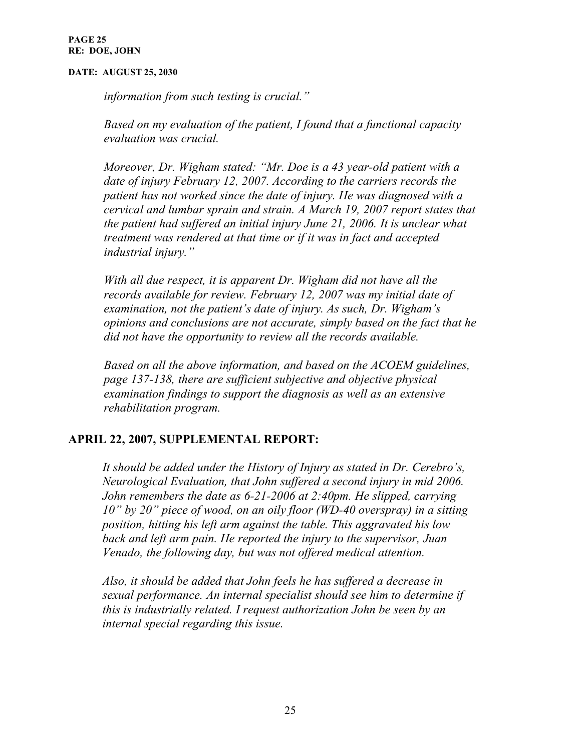*information from such testing is crucial."*

*Based on my evaluation of the patient, I found that a functional capacity evaluation was crucial.*

*Moreover, Dr. Wigham stated: "Mr. Doe is a 43 year-old patient with a date of injury February 12, 2007. According to the carriers records the patient has not worked since the date of injury. He was diagnosed with a cervical and lumbar sprain and strain. A March 19, 2007 report states that the patient had suffered an initial injury June 21, 2006. It is unclear what treatment was rendered at that time or if it was in fact and accepted industrial injury."*

*With all due respect, it is apparent Dr. Wigham did not have all the records available for review. February 12, 2007 was my initial date of examination, not the patient's date of injury. As such, Dr. Wigham's opinions and conclusions are not accurate, simply based on the fact that he did not have the opportunity to review all the records available.*

*Based on all the above information, and based on the ACOEM guidelines, page 137-138, there are sufficient subjective and objective physical examination findings to support the diagnosis as well as an extensive rehabilitation program.*

### **APRIL 22, 2007, SUPPLEMENTAL REPORT:**

*It should be added under the History of Injury as stated in Dr. Cerebro's, Neurological Evaluation, that John suffered a second injury in mid 2006. John remembers the date as 6-21-2006 at 2:40pm. He slipped, carrying 10" by 20" piece of wood, on an oily floor (WD-40 overspray) in a sitting position, hitting his left arm against the table. This aggravated his low back and left arm pain. He reported the injury to the supervisor, Juan Venado, the following day, but was not offered medical attention.*

*Also, it should be added that John feels he has suffered a decrease in sexual performance. An internal specialist should see him to determine if this is industrially related. I request authorization John be seen by an internal special regarding this issue.*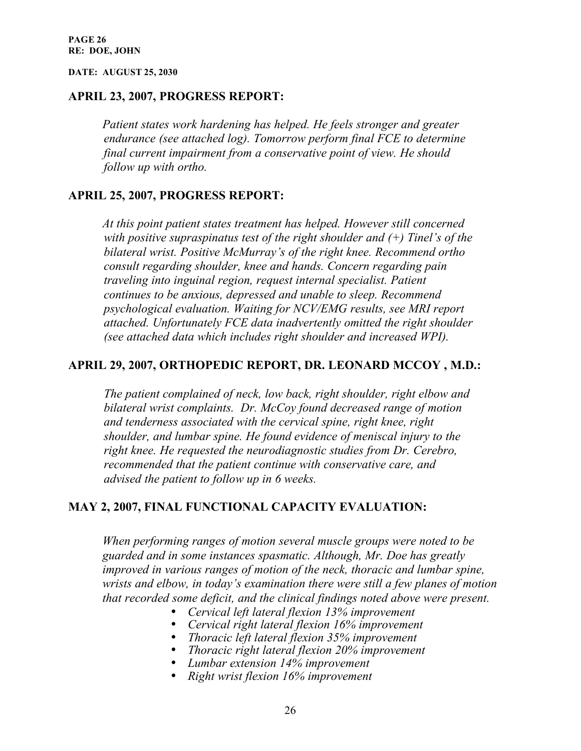### **APRIL 23, 2007, PROGRESS REPORT:**

*Patient states work hardening has helped. He feels stronger and greater endurance (see attached log). Tomorrow perform final FCE to determine final current impairment from a conservative point of view. He should follow up with ortho.*

### **APRIL 25, 2007, PROGRESS REPORT:**

*At this point patient states treatment has helped. However still concerned with positive supraspinatus test of the right shoulder and (+) Tinel's of the bilateral wrist. Positive McMurray's of the right knee. Recommend ortho consult regarding shoulder, knee and hands. Concern regarding pain traveling into inguinal region, request internal specialist. Patient continues to be anxious, depressed and unable to sleep. Recommend psychological evaluation. Waiting for NCV/EMG results, see MRI report attached. Unfortunately FCE data inadvertently omitted the right shoulder (see attached data which includes right shoulder and increased WPI).*

### **APRIL 29, 2007, ORTHOPEDIC REPORT, DR. LEONARD MCCOY , M.D.:**

*The patient complained of neck, low back, right shoulder, right elbow and bilateral wrist complaints. Dr. McCoy found decreased range of motion and tenderness associated with the cervical spine, right knee, right shoulder, and lumbar spine. He found evidence of meniscal injury to the right knee. He requested the neurodiagnostic studies from Dr. Cerebro, recommended that the patient continue with conservative care, and advised the patient to follow up in 6 weeks.*

### **MAY 2, 2007, FINAL FUNCTIONAL CAPACITY EVALUATION:**

*When performing ranges of motion several muscle groups were noted to be guarded and in some instances spasmatic. Although, Mr. Doe has greatly improved in various ranges of motion of the neck, thoracic and lumbar spine, wrists and elbow, in today's examination there were still a few planes of motion that recorded some deficit, and the clinical findings noted above were present.*

- *Cervical left lateral flexion 13% improvement*
- *Cervical right lateral flexion 16% improvement*
- *Thoracic left lateral flexion 35% improvement*
- *Thoracic right lateral flexion 20% improvement*
- *Lumbar extension 14% improvement*
- *Right wrist flexion 16% improvement*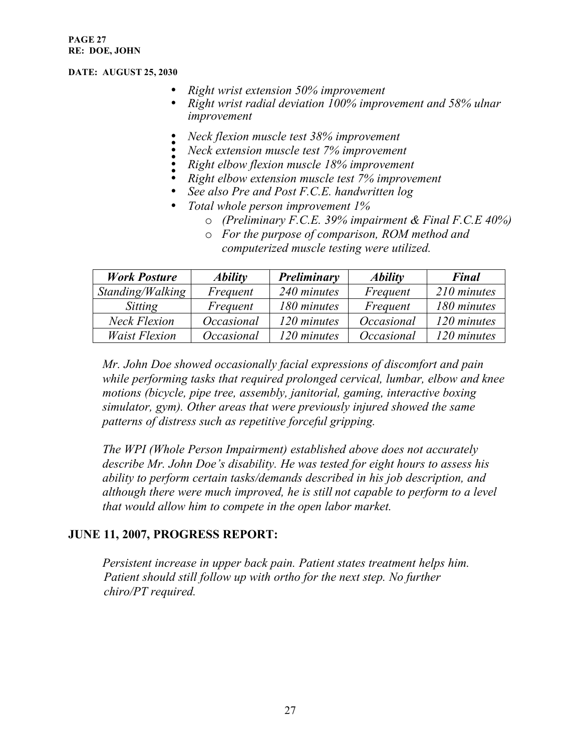#### **PAGE 27 RE: DOE, JOHN**

#### **DATE: AUGUST 25, 2030**

- *Right wrist extension 50% improvement*
- *Right wrist radial deviation 100% improvement and 58% ulnar improvement*
- *Neck flexion muscle test 38% improvement* •
- *Neck extension muscle test 7% improvement* •
- *Right elbow flexion muscle 18% improvement* •
- *Right elbow extension muscle test 7% improvement*
- *See also Pre and Post F.C.E. handwritten log*
- *Total whole person improvement 1%*
	- o *(Preliminary F.C.E. 39% impairment & Final F.C.E 40%)*
	- o *For the purpose of comparison, ROM method and computerized muscle testing were utilized.*

| <b>Work Posture</b>  | <i><b>Ability</b></i> | Preliminary | <b>Ability</b>    | <b>Final</b> |
|----------------------|-----------------------|-------------|-------------------|--------------|
| Standing/Walking     | Frequent              | 240 minutes | Frequent          | 210 minutes  |
| Sitting              | Frequent              | 180 minutes | Frequent          | 180 minutes  |
| Neck Flexion         | <i>Occasional</i>     | 120 minutes | <i>Occasional</i> | 120 minutes  |
| <b>Waist Flexion</b> | <i>Occasional</i>     | 120 minutes | <i>Occasional</i> | 120 minutes  |

*Mr. John Doe showed occasionally facial expressions of discomfort and pain while performing tasks that required prolonged cervical, lumbar, elbow and knee motions (bicycle, pipe tree, assembly, janitorial, gaming, interactive boxing simulator, gym). Other areas that were previously injured showed the same patterns of distress such as repetitive forceful gripping.*

*The WPI (Whole Person Impairment) established above does not accurately describe Mr. John Doe's disability. He was tested for eight hours to assess his ability to perform certain tasks/demands described in his job description, and although there were much improved, he is still not capable to perform to a level that would allow him to compete in the open labor market.*

## **JUNE 11, 2007, PROGRESS REPORT:**

*Persistent increase in upper back pain. Patient states treatment helps him. Patient should still follow up with ortho for the next step. No further chiro/PT required.*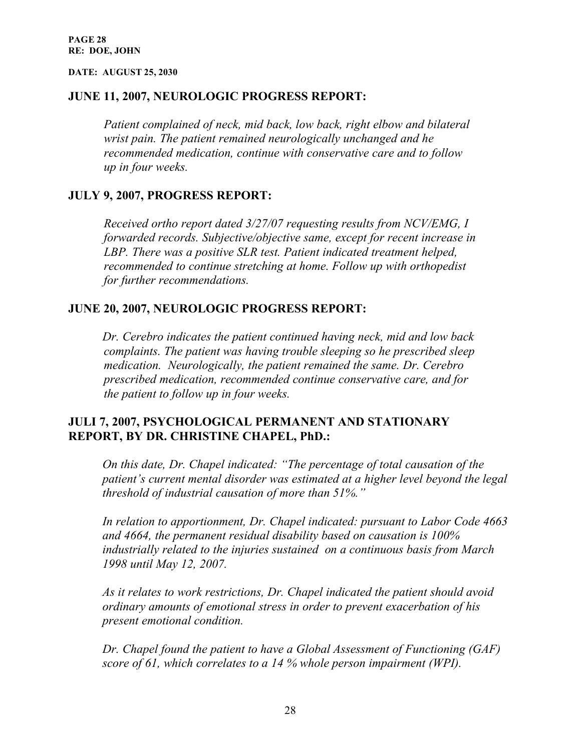### **JUNE 11, 2007, NEUROLOGIC PROGRESS REPORT:**

*Patient complained of neck, mid back, low back, right elbow and bilateral wrist pain. The patient remained neurologically unchanged and he recommended medication, continue with conservative care and to follow up in four weeks.*

### **JULY 9, 2007, PROGRESS REPORT:**

*Received ortho report dated 3/27/07 requesting results from NCV/EMG, I forwarded records. Subjective/objective same, except for recent increase in LBP. There was a positive SLR test. Patient indicated treatment helped, recommended to continue stretching at home. Follow up with orthopedist for further recommendations.*

### **JUNE 20, 2007, NEUROLOGIC PROGRESS REPORT:**

*Dr. Cerebro indicates the patient continued having neck, mid and low back complaints. The patient was having trouble sleeping so he prescribed sleep medication. Neurologically, the patient remained the same. Dr. Cerebro prescribed medication, recommended continue conservative care, and for the patient to follow up in four weeks.*

### **JULI 7, 2007, PSYCHOLOGICAL PERMANENT AND STATIONARY REPORT, BY DR. CHRISTINE CHAPEL, PhD.:**

*On this date, Dr. Chapel indicated: "The percentage of total causation of the patient's current mental disorder was estimated at a higher level beyond the legal threshold of industrial causation of more than 51%."*

*In relation to apportionment, Dr. Chapel indicated: pursuant to Labor Code 4663 and 4664, the permanent residual disability based on causation is 100% industrially related to the injuries sustained on a continuous basis from March 1998 until May 12, 2007.*

*As it relates to work restrictions, Dr. Chapel indicated the patient should avoid ordinary amounts of emotional stress in order to prevent exacerbation of his present emotional condition.*

*Dr. Chapel found the patient to have a Global Assessment of Functioning (GAF) score of 61, which correlates to a 14 % whole person impairment (WPI).*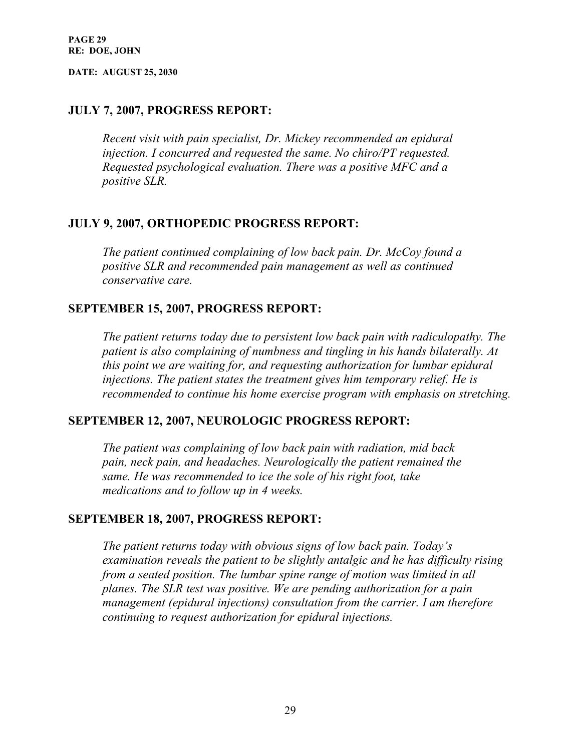### **JULY 7, 2007, PROGRESS REPORT:**

*Recent visit with pain specialist, Dr. Mickey recommended an epidural injection. I concurred and requested the same. No chiro/PT requested. Requested psychological evaluation. There was a positive MFC and a positive SLR.*

### **JULY 9, 2007, ORTHOPEDIC PROGRESS REPORT:**

*The patient continued complaining of low back pain. Dr. McCoy found a positive SLR and recommended pain management as well as continued conservative care.*

## **SEPTEMBER 15, 2007, PROGRESS REPORT:**

*The patient returns today due to persistent low back pain with radiculopathy. The patient is also complaining of numbness and tingling in his hands bilaterally. At this point we are waiting for, and requesting authorization for lumbar epidural injections. The patient states the treatment gives him temporary relief. He is recommended to continue his home exercise program with emphasis on stretching.*

### **SEPTEMBER 12, 2007, NEUROLOGIC PROGRESS REPORT:**

*The patient was complaining of low back pain with radiation, mid back pain, neck pain, and headaches. Neurologically the patient remained the same. He was recommended to ice the sole of his right foot, take medications and to follow up in 4 weeks.*

### **SEPTEMBER 18, 2007, PROGRESS REPORT:**

*The patient returns today with obvious signs of low back pain. Today's examination reveals the patient to be slightly antalgic and he has difficulty rising from a seated position. The lumbar spine range of motion was limited in all planes. The SLR test was positive. We are pending authorization for a pain management (epidural injections) consultation from the carrier. I am therefore continuing to request authorization for epidural injections.*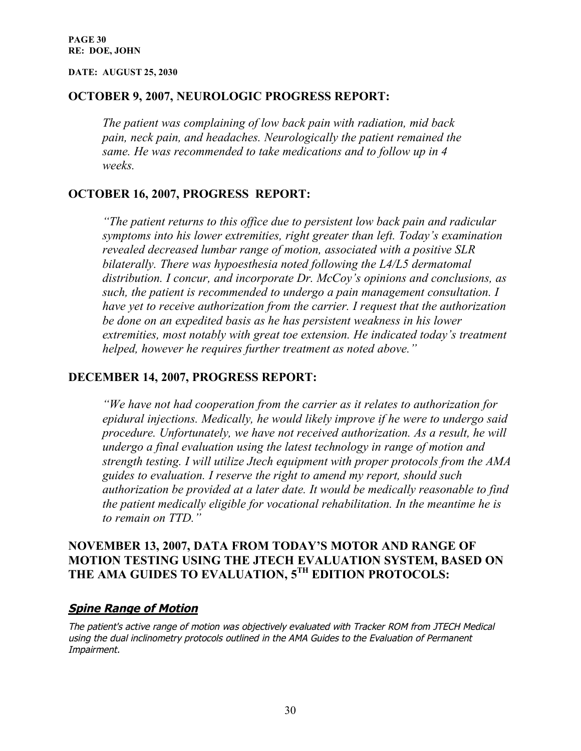### **OCTOBER 9, 2007, NEUROLOGIC PROGRESS REPORT:**

*The patient was complaining of low back pain with radiation, mid back pain, neck pain, and headaches. Neurologically the patient remained the same. He was recommended to take medications and to follow up in 4 weeks.*

### **OCTOBER 16, 2007, PROGRESS REPORT:**

*"The patient returns to this office due to persistent low back pain and radicular symptoms into his lower extremities, right greater than left. Today's examination revealed decreased lumbar range of motion, associated with a positive SLR bilaterally. There was hypoesthesia noted following the L4/L5 dermatomal distribution. I concur, and incorporate Dr. McCoy's opinions and conclusions, as such, the patient is recommended to undergo a pain management consultation. I have yet to receive authorization from the carrier. I request that the authorization be done on an expedited basis as he has persistent weakness in his lower extremities, most notably with great toe extension. He indicated today's treatment helped, however he requires further treatment as noted above."*

### **DECEMBER 14, 2007, PROGRESS REPORT:**

*"We have not had cooperation from the carrier as it relates to authorization for epidural injections. Medically, he would likely improve if he were to undergo said procedure. Unfortunately, we have not received authorization. As a result, he will undergo a final evaluation using the latest technology in range of motion and strength testing. I will utilize Jtech equipment with proper protocols from the AMA guides to evaluation. I reserve the right to amend my report, should such authorization be provided at a later date. It would be medically reasonable to find the patient medically eligible for vocational rehabilitation. In the meantime he is to remain on TTD."*

### **NOVEMBER 13, 2007, DATA FROM TODAY'S MOTOR AND RANGE OF MOTION TESTING USING THE JTECH EVALUATION SYSTEM, BASED ON THE AMA GUIDES TO EVALUATION, 5TH EDITION PROTOCOLS:**

### **Spine Range of Motion**

The patient's active range of motion was objectively evaluated with Tracker ROM from JTECH Medical using the dual inclinometry protocols outlined in the AMA Guides to the Evaluation of Permanent Impairment.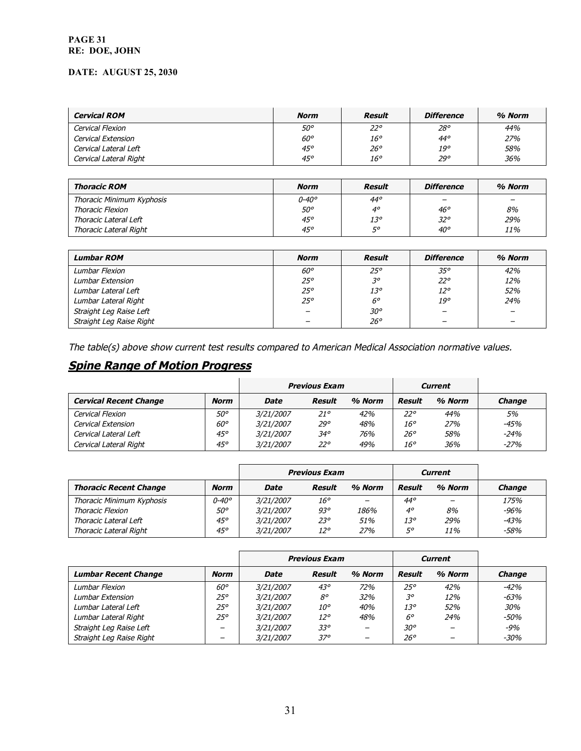#### **PAGE 31 RE: DOE, JOHN**

### **DATE: AUGUST 25, 2030**

| <b>Cervical ROM</b>       | <b>Norm</b> | Result       | <i><b>Difference</b></i> | % Norm |
|---------------------------|-------------|--------------|--------------------------|--------|
| Cervical Flexion          | 50°         | $22^{\circ}$ | $28^{\circ}$             | 44%    |
| <b>Cervical Extension</b> | 60°         | 16°          | 44°                      | 27%    |
| Cervical Lateral Left     | $45^\circ$  | $26^{\circ}$ | 19°                      | 58%    |
| Cervical Lateral Right    | 45°         | 16°          | 29°                      | 36%    |

| <b>Thoracic ROM</b>       | <b>Norm</b>      | Result | <i><b>Difference</b></i> | % Norm |
|---------------------------|------------------|--------|--------------------------|--------|
| Thoracic Minimum Kyphosis | $0 - 40^{\circ}$ | 44°    |                          |        |
| <b>Thoracic Flexion</b>   | <i>50°</i>       | 40     | 46°                      | 8%     |
| Thoracic Lateral Left     | 45°              | 13°    | $32^\circ$               | 29%    |
| Thoracic Lateral Right    | $45^\circ$       | 5°     | 40°                      | 11%    |

| <b>Lumbar ROM</b>        | <b>Norm</b> | Result       | <i><b>Difference</b></i> | % Norm |
|--------------------------|-------------|--------------|--------------------------|--------|
| Lumbar Flexion           | 60°         | $25^{\circ}$ | 35°                      | 42%    |
| Lumbar Extension         | 25°         | 30           | $22^{\circ}$             | 12%    |
| Lumbar Lateral Left      | $25^\circ$  | $13^{\circ}$ | $12^{\circ}$             | 52%    |
| Lumbar Lateral Right     | $25^\circ$  | $6^{\circ}$  | 19°                      | 24%    |
| Straight Leg Raise Left  |             | $30^{\circ}$ |                          |        |
| Straight Leg Raise Right |             | $26^{\circ}$ |                          |        |

The table(s) above show current test results compared to American Medical Association normative values.

## **Spine Range of Motion Progress**

|                               |      | <b>Previous Exam</b> |              |        |              | <b>Current</b> |               |
|-------------------------------|------|----------------------|--------------|--------|--------------|----------------|---------------|
| <b>Cervical Recent Change</b> | Norm | <b>Date</b>          | Result       | % Norm | Result       | % Norm         | <b>Change</b> |
| Cervical Flexion              | 50°  | 3/21/2007            | $21^\circ$   | 42%    | 22°          | 44%            | 5%            |
| <b>Cervical Extension</b>     | 60°  | <i>3/21/2007</i>     | 29°          | 48%    | $16^{\circ}$ | 27%            | $-45%$        |
| Cervical Lateral Left         | 45°  | <i>3/21/2007</i>     | 34°          | 76%    | 26°          | 58%            | -24%          |
| Cervical Lateral Right        | 45°  | <i>3/21/2007</i>     | $22^{\circ}$ | 49%    | $16^{\circ}$ | 36%            | $-27%$        |

|                                  |            | <b>Previous Exam</b> |        |                          |            | Current |               |
|----------------------------------|------------|----------------------|--------|--------------------------|------------|---------|---------------|
| <b>Thoracic Recent Change</b>    | Norm       | <b>Date</b>          | Result | % Norm                   | Result     | % Norm  | <b>Change</b> |
| <b>Thoracic Minimum Kyphosis</b> | 0-40°      | 3/21/2007            | 16°    | $\overline{\phantom{m}}$ | $44^\circ$ |         | 175%          |
| <b>Thoracic Flexion</b>          | 50°        | 3/21/2007            | 930    | 186%                     | $4^\circ$  | 8%      | -96%          |
| <b>Thoracic Lateral Left</b>     | $45^\circ$ | 3/21/2007            | 23°    | 51%                      | 13°        | 29%     | $-43%$        |
| Thoracic Lateral Right           | $45^\circ$ | 3/21/2007            | 12°    | 27%                      | 50         | 11%     | -58%          |

|                             |            | <b>Previous Exam</b> |              |                          |              | <b>Current</b> |               |
|-----------------------------|------------|----------------------|--------------|--------------------------|--------------|----------------|---------------|
| <b>Lumbar Recent Change</b> | Norm       | <b>Date</b>          | Result       | % Norm                   | Result       | % Norm         | <b>Change</b> |
| Lumbar Flexion              | $60^\circ$ | 3/21/2007            | $43^\circ$   | 72%                      | 25°          | 42%            | $-42%$        |
| Lumbar Extension            | $25^\circ$ | 3/21/2007            | $8^{\circ}$  | 32%                      | 30           | 12%            | $-63%$        |
| Lumbar Lateral Left         | $25^\circ$ | 3/21/2007            | $10^{\circ}$ | 40%                      | $13^{\circ}$ | 52%            | 30%           |
| Lumbar Lateral Right        | 25°        | 3/21/2007            | $12^{\circ}$ | 48%                      | 6°           | 24%            | $-50%$        |
| Straight Leg Raise Left     |            | 3/21/2007            | 33°          |                          | 30°          |                | $-9%$         |
| Straight Leg Raise Right    |            | 3/21/2007            | 37°          | $\overline{\phantom{m}}$ | 26°          |                | $-30%$        |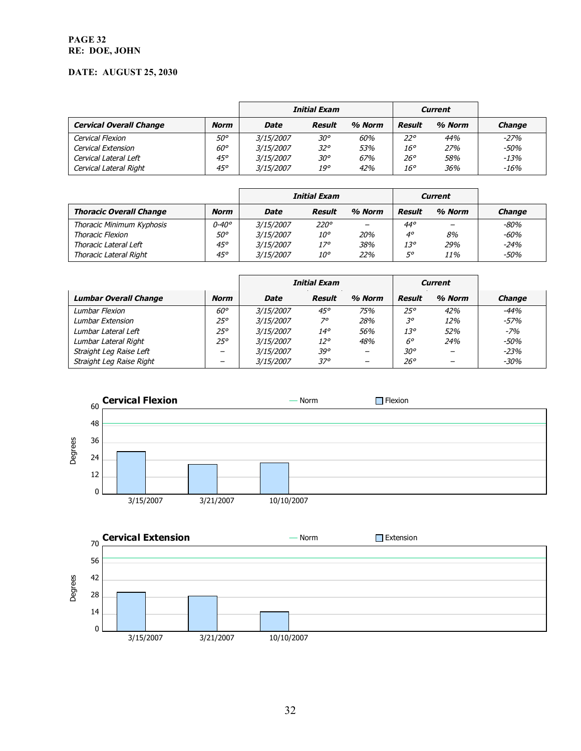#### **PAGE 32 RE: DOE, JOHN**

|                                |            | Initial Exam     |            |        |              | <b>Current</b> |               |
|--------------------------------|------------|------------------|------------|--------|--------------|----------------|---------------|
| <b>Cervical Overall Change</b> | Norm       | <b>Date</b>      | Result     | % Norm | Result       | % Norm         | <b>Change</b> |
| Cervical Flexion               | 50°        | <i>3/15/2007</i> | 30°        | 60%    | 22°          | 44%            | $-27%$        |
| Cervical Extension             | $60^\circ$ | 3/15/2007        | 32°        | 53%    | 16°          | 27%            | $-50%$        |
| Cervical Lateral Left          | $45^\circ$ | 3/15/2007        | 30°        | 67%    | $26^{\circ}$ | 58%            | $-13%$        |
| Cervical Lateral Right         | $45^\circ$ | 3/15/2007        | $19^\circ$ | 42%    | 16°          | 36%            | $-16%$        |

|                                |       | Initial Exam     |             |        |            | <b>Current</b> |               |
|--------------------------------|-------|------------------|-------------|--------|------------|----------------|---------------|
| <b>Thoracic Overall Change</b> | Norm  | <b>Date</b>      | Result      | % Norm | Result     | % Norm         | <b>Change</b> |
| Thoracic Minimum Kyphosis      | 0-40° | 3/15/2007        | $220^\circ$ |        | $44^\circ$ |                | -80%          |
| Thoracic Flexion               | 50°   | 3/15/2007        | 10°         | 20%    | $4^\circ$  | 8%             | -60%          |
| Thoracic Lateral Left          | 45°   | <i>3/15/2007</i> | $17^\circ$  | 38%    | 13°        | 29%            | $-24%$        |
| Thoracic Lateral Right         | 45°   | <i>3/15/2007</i> | 10°         | 22%    | 50         | 11%            | $-50%$        |

|                              |             | Initial Exam |              |        |              | Current |               |
|------------------------------|-------------|--------------|--------------|--------|--------------|---------|---------------|
| <b>Lumbar Overall Change</b> | <b>Norm</b> | Date         | Result       | % Norm | Result       | % Norm  | <b>Change</b> |
| Lumbar Flexion               | $60^\circ$  | 3/15/2007    | $45^\circ$   | 75%    | 25°          | 42%     | $-44%$        |
| Lumbar Extension             | 25°         | 3/15/2007    | 70           | 28%    | 30           | 12%     | $-57%$        |
| Lumbar Lateral Left          | 25°         | 3/15/2007    | 14°          | 56%    | 13°          | 52%     | $-7%$         |
| Lumbar Lateral Right         | $25^\circ$  | 3/15/2007    | $12^{\circ}$ | 48%    | $6^{\circ}$  | 24%     | $-50%$        |
| Straight Leg Raise Left      |             | 3/15/2007    | 39°          |        | 30°          |         | $-23%$        |
| Straight Leg Raise Right     |             | 3/15/2007    | 37°          |        | $26^{\circ}$ |         | $-30%$        |



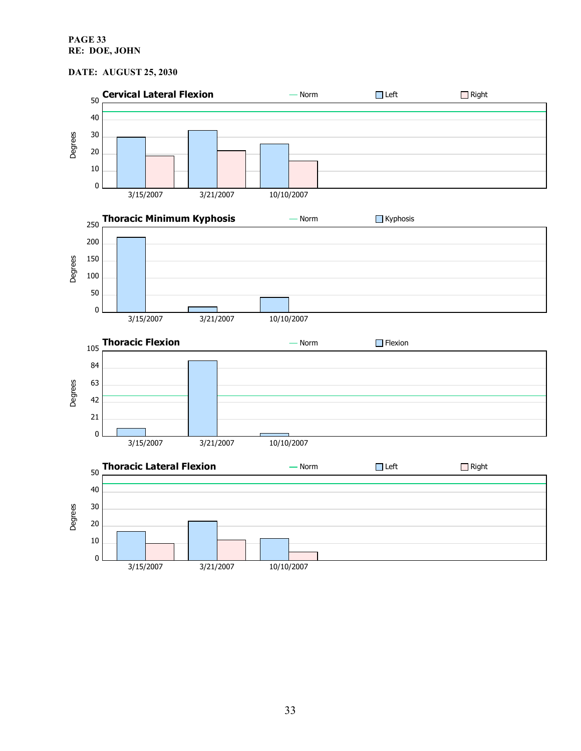#### **PAGE 33 RE: DOE, JOHN**

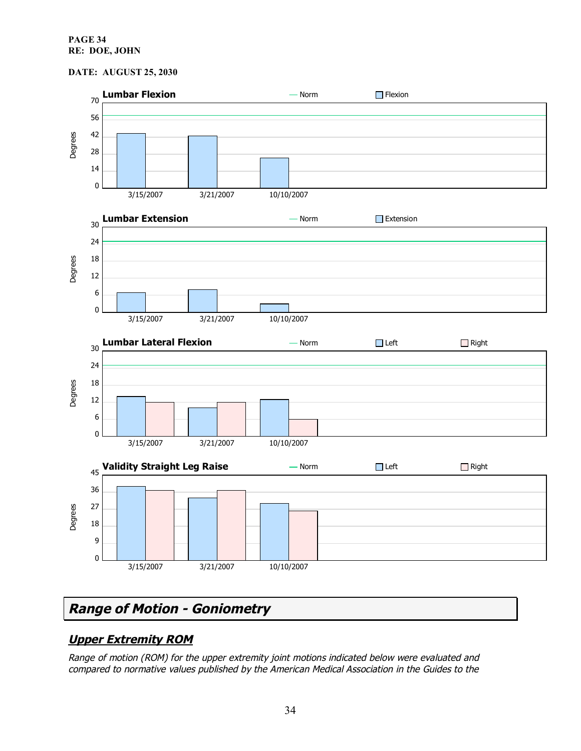#### **PAGE 34 RE: DOE, JOHN**

#### **DATE: AUGUST 25, 2030**



# **Range of Motion - Goniometry**

## **Upper Extremity ROM**

Range of motion (ROM) for the upper extremity joint motions indicated below were evaluated and compared to normative values published by the American Medical Association in the Guides to the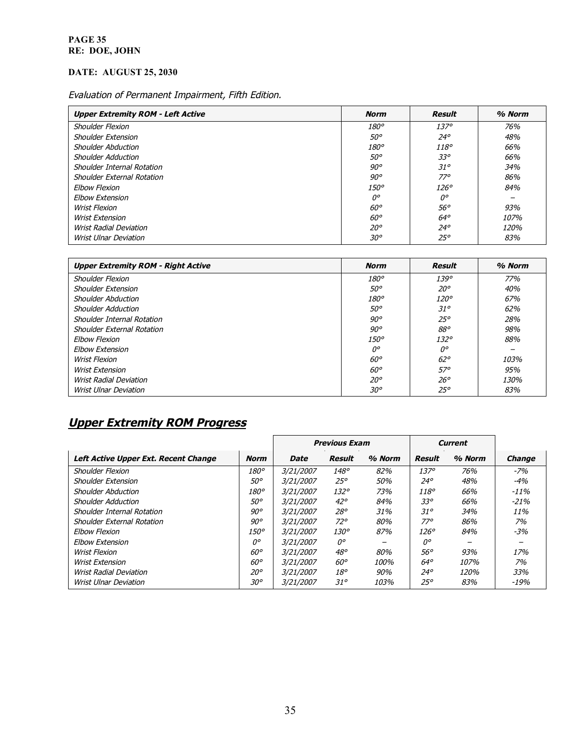### Evaluation of Permanent Impairment, Fifth Edition.

| <b>Upper Extremity ROM - Left Active</b> | <b>Norm</b>  | <b>Result</b> | % Norm |
|------------------------------------------|--------------|---------------|--------|
| <b>Shoulder Flexion</b>                  | 180°         | $137^\circ$   | 76%    |
| <b>Shoulder Extension</b>                | $50^\circ$   | $24^\circ$    | 48%    |
| <b>Shoulder Abduction</b>                | 180°         | 118°          | 66%    |
| <b>Shoulder Adduction</b>                | $50^\circ$   | 330           | 66%    |
| Shoulder Internal Rotation               | $90^\circ$   | $31^{\circ}$  | 34%    |
| Shoulder External Rotation               | $90^\circ$   | 77°           | 86%    |
| <b>Elbow Flexion</b>                     | $150^\circ$  | $126^\circ$   | 84%    |
| <b>Elbow Extension</b>                   | $0^{\circ}$  | $0^{\circ}$   |        |
| Wrist Flexion                            | $60^\circ$   | 56°           | 93%    |
| <b>Wrist Extension</b>                   | $60^\circ$   | $64^\circ$    | 107%   |
| Wrist Radial Deviation                   | $20^{\circ}$ | $24^\circ$    | 120%   |
| <b>Wrist Ulnar Deviation</b>             | 30°          | $25^\circ$    | 83%    |

| <b>Upper Extremity ROM - Right Active</b> | <b>Norm</b>  | <b>Result</b> | % Norm |
|-------------------------------------------|--------------|---------------|--------|
| <b>Shoulder Flexion</b>                   | 180°         | 139°          | 77%    |
| <b>Shoulder Extension</b>                 | <i>50°</i>   | $20^{\circ}$  | 40%    |
| <b>Shoulder Abduction</b>                 | $180^\circ$  | $120^\circ$   | 67%    |
| <b>Shoulder Adduction</b>                 | <i>50°</i>   | $31^{\circ}$  | 62%    |
| <b>Shoulder Internal Rotation</b>         | $90^{\circ}$ | $25^\circ$    | 28%    |
| Shoulder External Rotation                | $90^{\circ}$ | 88°           | 98%    |
| <b>Elbow Flexion</b>                      | $150^\circ$  | $132^\circ$   | 88%    |
| Elbow Extension                           | $0^{\circ}$  | n°            |        |
| Wrist Flexion                             | $60^\circ$   | $62^\circ$    | 103%   |
| <b>Wrist Extension</b>                    | 60°          | 57°           | 95%    |
| Wrist Radial Deviation                    | $20^{\circ}$ | $26^\circ$    | 130%   |
| Wrist Ulnar Deviation                     | 30°          | $25^\circ$    | 83%    |

# **Upper Extremity ROM Progress**

|                                      |             |             | <b>Previous Exam</b> |        |              | <b>Current</b> |               |
|--------------------------------------|-------------|-------------|----------------------|--------|--------------|----------------|---------------|
| Left Active Upper Ext. Recent Change | <b>Norm</b> | <b>Date</b> | Result               | % Norm | Result       | % Norm         | <b>Change</b> |
| <b>Shoulder Flexion</b>              | 180°        | 3/21/2007   | 148°                 | 82%    | $137^\circ$  | 76%            | $-7%$         |
| <b>Shoulder Extension</b>            | 50°         | 3/21/2007   | $25^{\circ}$         | 50%    | $24^\circ$   | 48%            | $-4%$         |
| <b>Shoulder Abduction</b>            | 180°        | 3/21/2007   | $132^\circ$          | 73%    | 118°         | 66%            | $-11\%$       |
| <b>Shoulder Adduction</b>            | 50°         | 3/21/2007   | $42^\circ$           | 84%    | 330          | 66%            | $-21%$        |
| Shoulder Internal Rotation           | 90°         | 3/21/2007   | 28°                  | 31%    | $31^{\circ}$ | 34%            | 11%           |
| Shoulder External Rotation           | 90°         | 3/21/2007   | $72^\circ$           | 80%    | 77°          | 86%            | 7%            |
| <b>Elbow Flexion</b>                 | $150^\circ$ | 3/21/2007   | $130^\circ$          | 87%    | $126^\circ$  | 84%            | $-3%$         |
| <b>Elbow Extension</b>               | n°          | 3/21/2007   | $0^{\circ}$          |        | n°           |                |               |
| <b>Wrist Flexion</b>                 | $60^\circ$  | 3/21/2007   | $48^\circ$           | 80%    | 56°          | 93%            | 17%           |
| <b>Wrist Extension</b>               | 60°         | 3/21/2007   | 60°                  | 100%   | 64°          | 107%           | 7%            |
| Wrist Radial Deviation               | 20°         | 3/21/2007   | 18°                  | 90%    | 24°          | 120%           | 33%           |
| Wrist Ulnar Deviation                | 30°         | 3/21/2007   | 31°                  | 103%   | $25^{\circ}$ | 83%            | $-19%$        |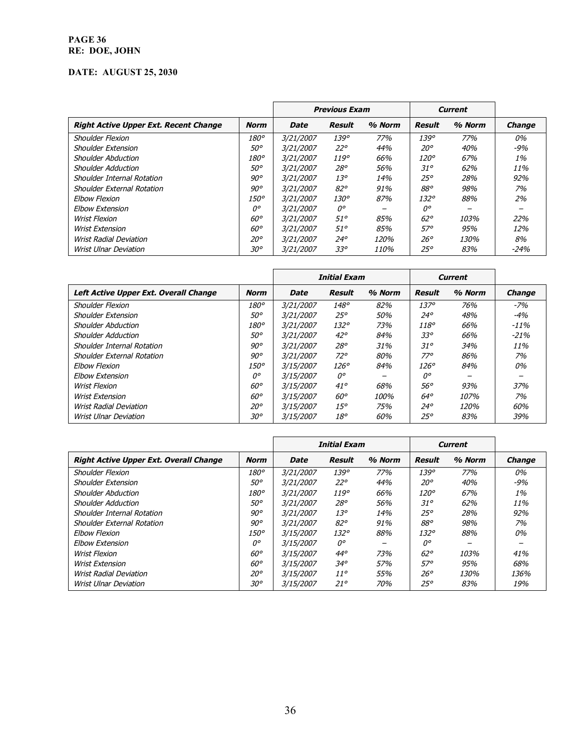#### **PAGE 36 RE: DOE, JOHN**

|                                              |              |                  | <b>Previous Exam</b> |        |             | <b>Current</b> |               |
|----------------------------------------------|--------------|------------------|----------------------|--------|-------------|----------------|---------------|
| <b>Right Active Upper Ext. Recent Change</b> | <b>Norm</b>  | Date             | Result               | % Norm | Result      | % Norm         | <b>Change</b> |
| <b>Shoulder Flexion</b>                      | $180^\circ$  | 3/21/2007        | 139°                 | 77%    | 139°        | 77%            | 0%            |
| <b>Shoulder Extension</b>                    | <i>50°</i>   | 3/21/2007        | $22^\circ$           | 44%    | 20°         | 40%            | $-9\%$        |
| <b>Shoulder Abduction</b>                    | 180°         | 3/21/2007        | 119°                 | 66%    | $120^\circ$ | 67%            | 1%            |
| <b>Shoulder Adduction</b>                    | <i>50°</i>   | 3/21/2007        | 28°                  | 56%    | 31°         | 62%            | 11%           |
| Shoulder Internal Rotation                   | 90°          | 3/21/2007        | $13^{\circ}$         | 14%    | 25°         | 28%            | 92%           |
| <b>Shoulder External Rotation</b>            | 90°          | 3/21/2007        | $82^\circ$           | 91%    | 88°         | 98%            | 7%            |
| <b>Elbow Flexion</b>                         | $150^\circ$  | 3/21/2007        | 130°                 | 87%    | $132^\circ$ | 88%            | 2%            |
| <b>Elbow Extension</b>                       | n°           | 3/21/2007        | $0^{\circ}$          |        | n°          |                |               |
| Wrist Flexion                                | $60^\circ$   | 3/21/2007        | $51^\circ$           | 85%    | $62^\circ$  | 103%           | 22%           |
| <b>Wrist Extension</b>                       | $60^\circ$   | <i>3/21/2007</i> | 51°                  | 85%    | 57°         | 95%            | 12%           |
| Wrist Radial Deviation                       | $20^{\circ}$ | 3/21/2007        | 24°                  | 120%   | 26°         | 130%           | 8%            |
| Wrist Ulnar Deviation                        | $30^\circ$   | 3/21/2007        | 33°                  | 110%   | 25°         | 83%            | $-24%$        |

|                                       |              |           | <b>Initial Exam</b> |        |              | <b>Current</b> |               |
|---------------------------------------|--------------|-----------|---------------------|--------|--------------|----------------|---------------|
| Left Active Upper Ext. Overall Change | <b>Norm</b>  | Date      | Result              | % Norm | Result       | % Norm         | <b>Change</b> |
| <b>Shoulder Flexion</b>               | 180°         | 3/21/2007 | 148°                | 82%    | $137^\circ$  | 76%            | $-7%$         |
| <b>Shoulder Extension</b>             | 50°          | 3/21/2007 | $25^{\circ}$        | 50%    | 24°          | 48%            | $-4%$         |
| <b>Shoulder Abduction</b>             | 180°         | 3/21/2007 | 132°                | 73%    | 118°         | 66%            | $-11%$        |
| <b>Shoulder Adduction</b>             | $50^\circ$   | 3/21/2007 | $42^\circ$          | 84%    | 33°          | 66%            | $-21%$        |
| Shoulder Internal Rotation            | $90^{\circ}$ | 3/21/2007 | $28^\circ$          | 31%    | $31^{\circ}$ | 34%            | 11%           |
| <b>Shoulder External Rotation</b>     | $90^{\circ}$ | 3/21/2007 | $72^\circ$          | 80%    | 77°          | 86%            | 7%            |
| <b>Elbow Flexion</b>                  | $150^\circ$  | 3/15/2007 | $126^\circ$         | 84%    | $126^\circ$  | 84%            | 0%            |
| <b>Elbow Extension</b>                | n°           | 3/15/2007 | $0^{\circ}$         |        | 0°           |                |               |
| Wrist Flexion                         | $60^\circ$   | 3/15/2007 | $41^\circ$          | 68%    | 56°          | 93%            | 37%           |
| <i>Wrist Extension</i>                | $60^\circ$   | 3/15/2007 | $60^\circ$          | 100%   | $64^\circ$   | 107%           | 7%            |
| Wrist Radial Deviation                | $20^{\circ}$ | 3/15/2007 | $15^{\circ}$        | 75%    | 24°          | 120%           | 60%           |
| Wrist Ulnar Deviation                 | $30^{\circ}$ | 3/15/2007 | 18°                 | 60%    | 25°          | 83%            | 39%           |

|                                               |              |             | <b>Initial Exam</b> |        |              | <b>Current</b> |               |
|-----------------------------------------------|--------------|-------------|---------------------|--------|--------------|----------------|---------------|
| <b>Right Active Upper Ext. Overall Change</b> | <b>Norm</b>  | <b>Date</b> | Result              | % Norm | Result       | % Norm         | <b>Change</b> |
| <b>Shoulder Flexion</b>                       | 180°         | 3/21/2007   | 139°                | 77%    | $139^\circ$  | 77%            | 0%            |
| <b>Shoulder Extension</b>                     | <i>50°</i>   | 3/21/2007   | $22^{\circ}$        | 44%    | $20^{\circ}$ | 40%            | $-9\%$        |
| <b>Shoulder Abduction</b>                     | 180°         | 3/21/2007   | 119°                | 66%    | $120^\circ$  | 67%            | 1%            |
| <b>Shoulder Adduction</b>                     | 50°          | 3/21/2007   | $28^{\circ}$        | 56%    | 31°          | 62%            | 11%           |
| Shoulder Internal Rotation                    | 90°          | 3/21/2007   | $13^{\circ}$        | 14%    | $25^\circ$   | 28%            | 92%           |
| Shoulder External Rotation                    | 90°          | 3/21/2007   | 82°                 | 91%    | 88°          | 98%            | 7%            |
| <b>Elbow Flexion</b>                          | $150^\circ$  | 3/15/2007   | 132°                | 88%    | 132°         | 88%            | 0%            |
| <b>Elbow Extension</b>                        | n∘           | 3/15/2007   | 0°                  |        | n∘           |                |               |
| <b>Wrist Flexion</b>                          | 60°          | 3/15/2007   | $44^\circ$          | 73%    | $62^\circ$   | 103%           | 41%           |
| <b>Wrist Extension</b>                        | 60°          | 3/15/2007   | 34°                 | 57%    | $57^\circ$   | 95%            | 68%           |
| Wrist Radial Deviation                        | $20^{\circ}$ | 3/15/2007   | $11^{\circ}$        | 55%    | $26^\circ$   | 130%           | 136%          |
| Wrist Ulnar Deviation                         | $30^{\circ}$ | 3/15/2007   | $21^{\circ}$        | 70%    | 25°          | 83%            | 19%           |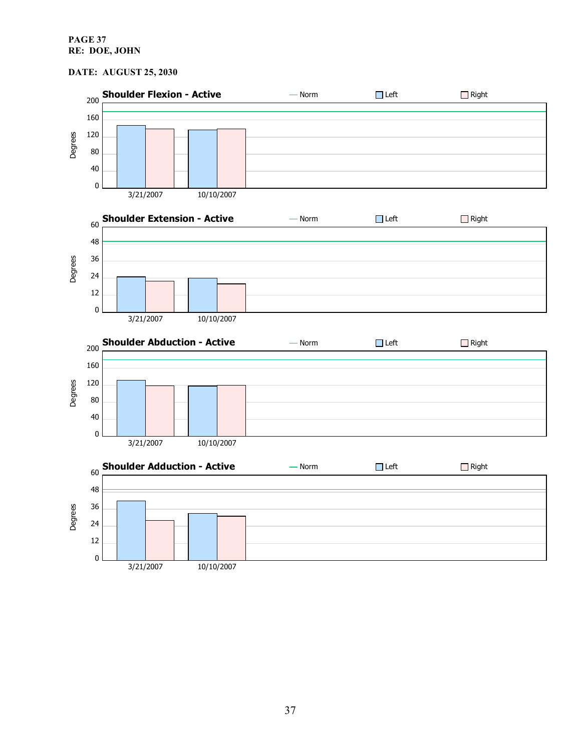#### **PAGE 37 RE: DOE, JOHN**

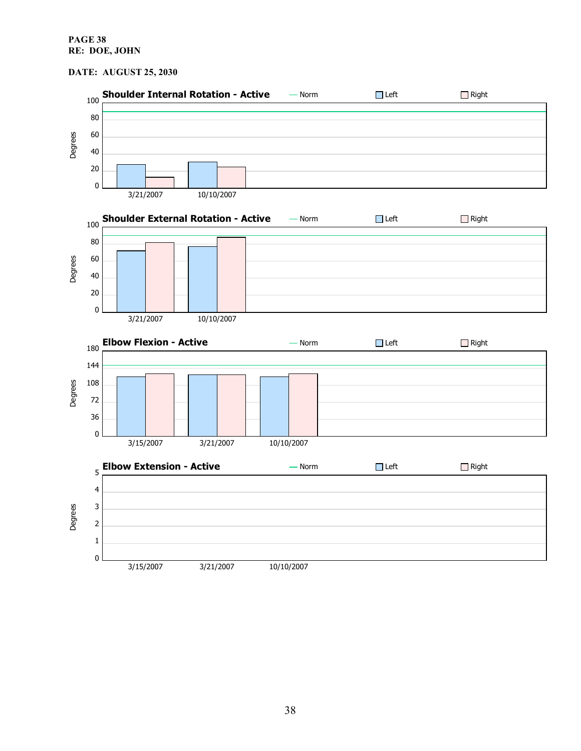#### **PAGE 38 RE: DOE, JOHN**

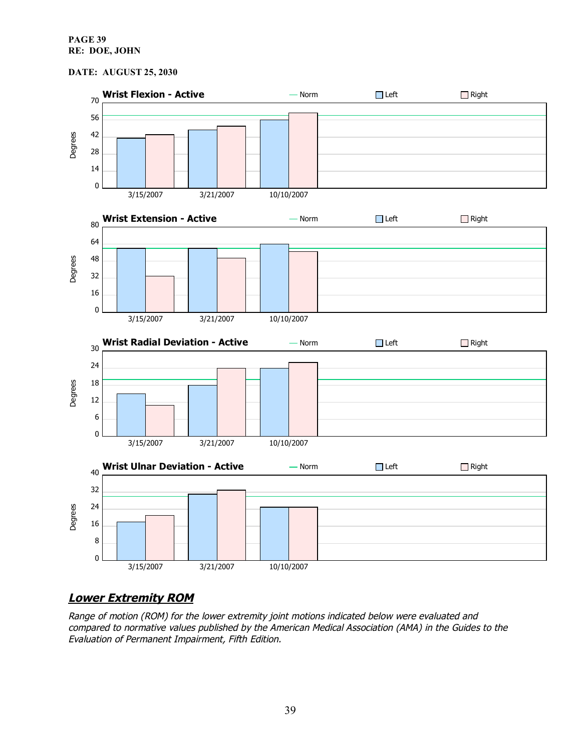#### **PAGE 39 RE: DOE, JOHN**

#### **DATE: AUGUST 25, 2030**



## **Lower Extremity ROM**

Range of motion (ROM) for the lower extremity joint motions indicated below were evaluated and compared to normative values published by the American Medical Association (AMA) in the Guides to the Evaluation of Permanent Impairment, Fifth Edition.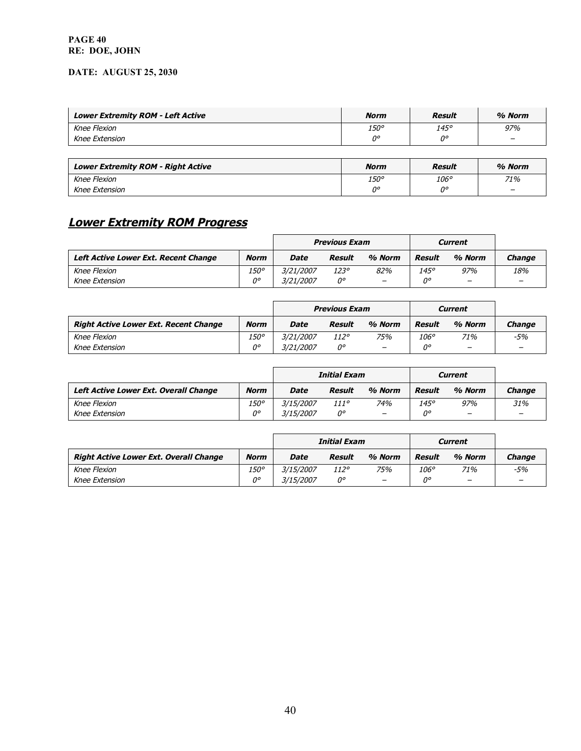#### **PAGE 40 RE: DOE, JOHN**

### **DATE: AUGUST 25, 2030**

| <b>Lower Extremity ROM - Left Active</b> | Norm | <b>Result</b> | % Norm                   |
|------------------------------------------|------|---------------|--------------------------|
| Knee Flexion                             | 150° | $145^\circ$   | 97%                      |
| Knee Extension                           | n٥   | 0°            | $\overline{\phantom{m}}$ |
|                                          |      |               |                          |

| <b>Lower Extremity ROM - Right Active</b> | <b>Norm</b> | <b>Result</b> | % Norm                   |
|-------------------------------------------|-------------|---------------|--------------------------|
| Knee Flexion                              | $150^\circ$ | 106°          | 71%                      |
| Knee Extension                            | no          | n°            | $\overline{\phantom{0}}$ |

# **Lower Extremity ROM Progress**

|                                      |             | <b>Previous Exam</b> |             |        | <b>Current</b> |                          |               |
|--------------------------------------|-------------|----------------------|-------------|--------|----------------|--------------------------|---------------|
| Left Active Lower Ext. Recent Change | <b>Norm</b> | Date                 | Result      | % Norm | Result         | % Norm                   | <b>Change</b> |
| Knee Flexion                         | $150^\circ$ | 3/21/2007            | $123^\circ$ | 82%    | 145°           | 97%                      | 18%           |
| Knee Extension                       | n٥          | <i>3/21/2007</i>     | 0°          | —      | 0°             | $\overline{\phantom{m}}$ | -             |

|                                              |             |           | <b>Previous Exam</b> |                          |             | <b>Current</b> |               |
|----------------------------------------------|-------------|-----------|----------------------|--------------------------|-------------|----------------|---------------|
| <b>Right Active Lower Ext. Recent Change</b> | <b>Norm</b> | Date      | Result               | % Norm                   | Result      | % Norm         | <b>Change</b> |
| Knee Flexion                                 | $150^\circ$ | 3/21/2007 | $112^\circ$          | 75%                      | 106°        | 71%            | $-5%$         |
| Knee Extension                               | n°          | 3/21/2007 | $0^{\circ}$          | $\overline{\phantom{0}}$ | $0^{\circ}$ |                |               |

|                                       |             |                  | Initial Exam |                          |               | <b>Current</b>           |                   |
|---------------------------------------|-------------|------------------|--------------|--------------------------|---------------|--------------------------|-------------------|
| Left Active Lower Ext. Overall Change | <b>Norm</b> | Date             | Result       | % Norm                   | <b>Result</b> | % Norm                   | <b>Change</b>     |
| Knee Flexion                          | $150^\circ$ | 3/15/2007        | 111°         | 74%                      | 145°          | 97%                      | 31%               |
| Knee Extension                        | n°          | <i>3/15/2007</i> | 0°           | $\overline{\phantom{m}}$ | n۰            | $\overline{\phantom{m}}$ | $\qquad \qquad -$ |

|                                               |             |           | Initial Exam  |                          |        | <b>Current</b>           |                          |
|-----------------------------------------------|-------------|-----------|---------------|--------------------------|--------|--------------------------|--------------------------|
| <b>Right Active Lower Ext. Overall Change</b> | <b>Norm</b> | Date      | <b>Result</b> | % Norm                   | Result | % Norm                   | Change                   |
| Knee Flexion                                  | 150°        | 3/15/2007 | 112°          | 75%                      | 106°   | 71%                      | -5%                      |
| Knee Extension                                | 0°          | 3/15/2007 | 0°            | $\overline{\phantom{m}}$ | 0°     | $\overline{\phantom{m}}$ | $\overline{\phantom{m}}$ |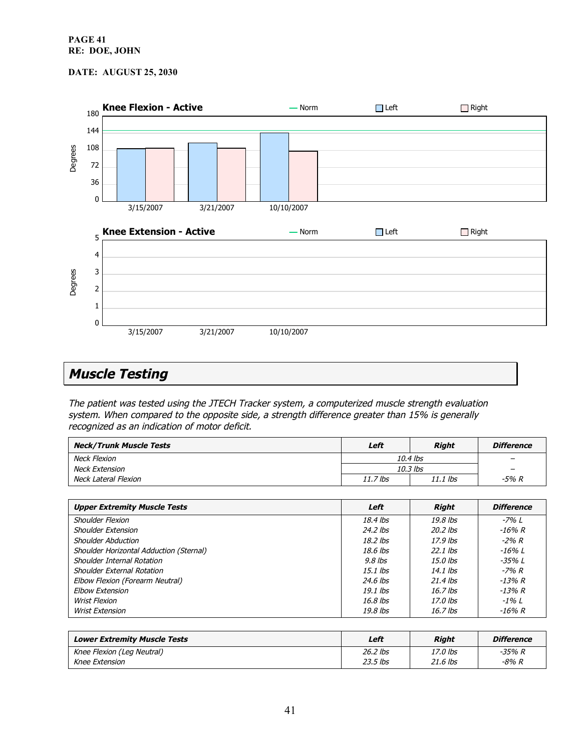#### **PAGE 41 RE: DOE, JOHN**

#### **DATE: AUGUST 25, 2030**



# **Muscle Testing**

The patient was tested using the JTECH Tracker system, <sup>a</sup> computerized muscle strength evaluation system. When compared to the opposite side, <sup>a</sup> strength difference greater than 15% is generally recognized as an indication of motor deficit.

| <b>Neck/Trunk Muscle Tests</b> | Left       | <b>Right</b> | <b>Difference</b> |
|--------------------------------|------------|--------------|-------------------|
| Neck Flexion                   | $10.4$ lbs | -            |                   |
| Neck Extension                 | 10.3 lbs   | -            |                   |
| Neck Lateral Flexion           | 11.7 lbs   | 11.1 lbs     | -5% R             |

| <b>Upper Extremity Muscle Tests</b>     | Left       | Right      | <i><b>Difference</b></i> |
|-----------------------------------------|------------|------------|--------------------------|
| <b>Shoulder Flexion</b>                 | $18.4$ lbs | $19.8$ lbs | -7% L                    |
| <b>Shoulder Extension</b>               | $24.2$ lbs | $20.2$ lbs | -16% R                   |
| <b>Shoulder Abduction</b>               | $18.2$ lbs | $17.9$ lbs | -2% R                    |
| Shoulder Horizontal Adduction (Sternal) | 18.6 lbs   | $22.1$ lbs | -16% L                   |
| Shoulder Internal Rotation              | $9.8$ lbs  | $15.0$ lbs | -35% L                   |
| Shoulder External Rotation              | $15.1$ lbs | 14.1 lbs   | -7% R                    |
| Elbow Flexion (Forearm Neutral)         | 24.6 lbs   | $21.4$ lbs | -13% R                   |
| <b>Elbow Extension</b>                  | $19.1$ lbs | $16.7$ lbs | -13% R                   |
| Wrist Flexion                           | 16.8 lbs   | $17.0$ lbs | -1% L                    |
| Wrist Extension                         | $19.8$ lbs | $16.7$ lbs | -16% R                   |

| <b>Lower Extremity Muscle Tests</b> | Left       | Riaht    | <b>Difference</b> |
|-------------------------------------|------------|----------|-------------------|
| Knee Flexion (Leg Neutral)          | $26.2$ lbs | 17.0 lbs | -35% R            |
| Knee Extension                      | $23.5$ lbs | 21.6 lbs | $-8\% R$          |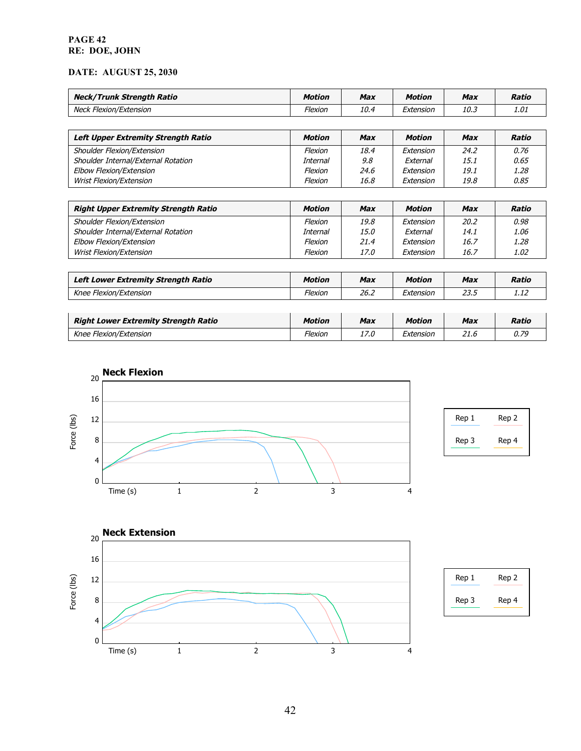#### **PAGE 42 RE: DOE, JOHN**

| <b>Motion</b> | <b>Max</b> | <b>Motion</b> | <b>Max</b> | Ratio        |
|---------------|------------|---------------|------------|--------------|
| Flexion       | 10.4       | Extension     | 10.3       | 1.01         |
|               |            |               |            |              |
| <b>Motion</b> | <b>Max</b> | <b>Motion</b> | <b>Max</b> | <b>Ratio</b> |
| Flexion       | 18.4       | Extension     | 24.2       | 0.76         |
| Internal      | 9.8        | External      | 15.1       | 0.65         |
| Flexion       | 24.6       | Extension     | 19.1       | 1.28         |
| Flexion       | 16.8       | Extension     | 19.8       | 0.85         |
|               |            |               |            |              |

| <b>Right Upper Extremity Strength Ratio</b> | <b>Motion</b> | <b>Max</b>  | <b>Motion</b> | <b>Max</b> | Ratio |
|---------------------------------------------|---------------|-------------|---------------|------------|-------|
| Shoulder Flexion/Extension                  | Flexion       | 19.8        | Extension     | 20.2       | 0.98  |
| Shoulder Internal/External Rotation         | Internal      | <i>15.0</i> | External      | 14.1       | 1.06  |
| <b>Elbow Flexion/Extension</b>              | Flexion       | 21.4        | Extension     | 16.7       | 1.28  |
| <b>Wrist Flexion/Extension</b>              | Flexion       | 17.0        | Extension     | 16.7       | 1.02  |

| Left Lower Extremity Strength Ratio | Motion  | Max  | <b>Motion</b> | <b>Max</b>   | Ratio |
|-------------------------------------|---------|------|---------------|--------------|-------|
| Knee Flexion/Extension              | Flexion | 26.2 | Extension     | ח רר<br>ت.رح | 1.IZ  |

| Right Lower Extremity Strength Ratio | Motion  | <b>Max</b> | Motion    | <b>Max</b>     | Ratio |
|--------------------------------------|---------|------------|-----------|----------------|-------|
| Knee Flexion/Extension               | Flexion | 17 N       | Extension | $\sim$<br>21.0 | 0.79  |







| Rep 1 | Rep 2 |
|-------|-------|
| Rep 3 | Rep 4 |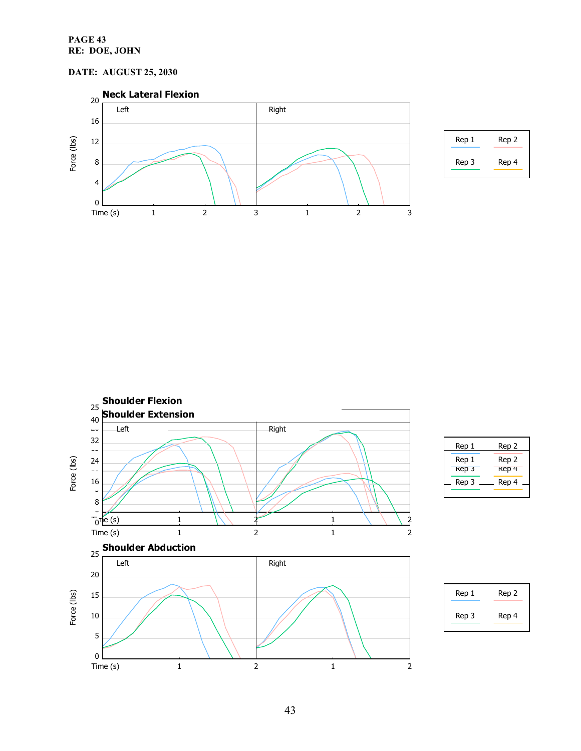#### **PAGE 43 RE: DOE, JOHN**



| Rep 1 | Rep 2 |
|-------|-------|
| Rep 3 | Rep 4 |

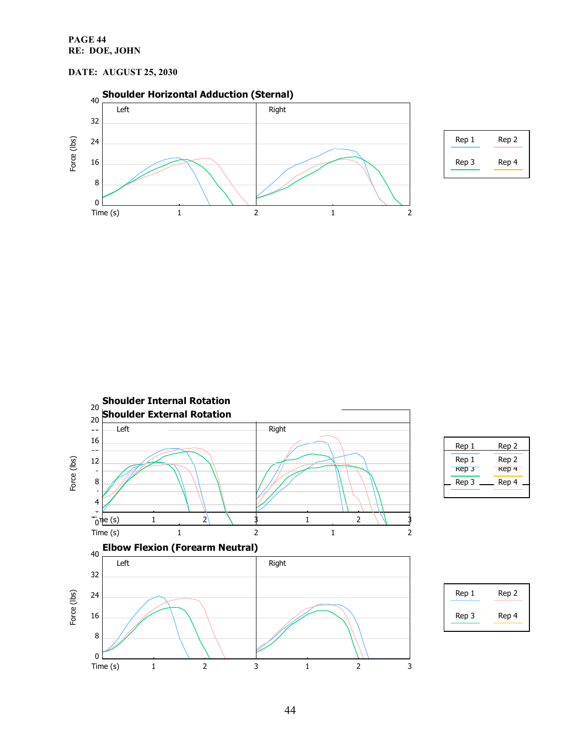#### **PAGE 44 RE: DOE, JOHN**



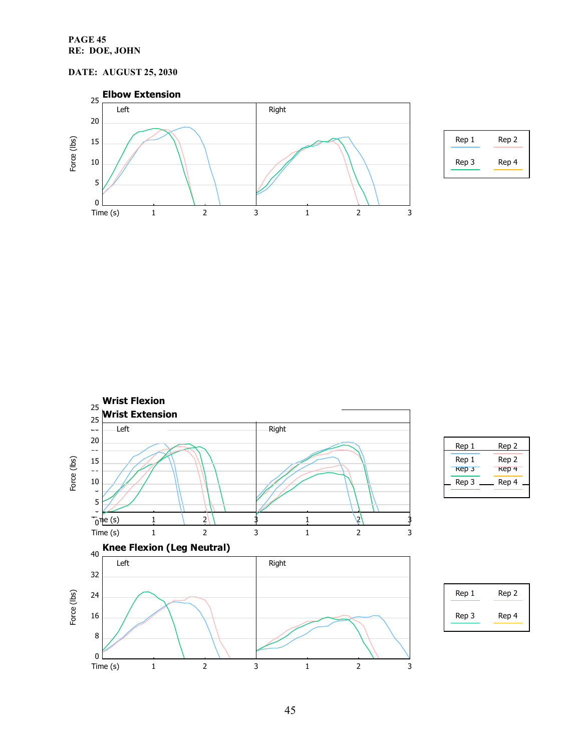#### **PAGE 45 RE: DOE, JOHN**



| Rep 1 | Rep 2 |
|-------|-------|
| Rep 3 | Rep 4 |

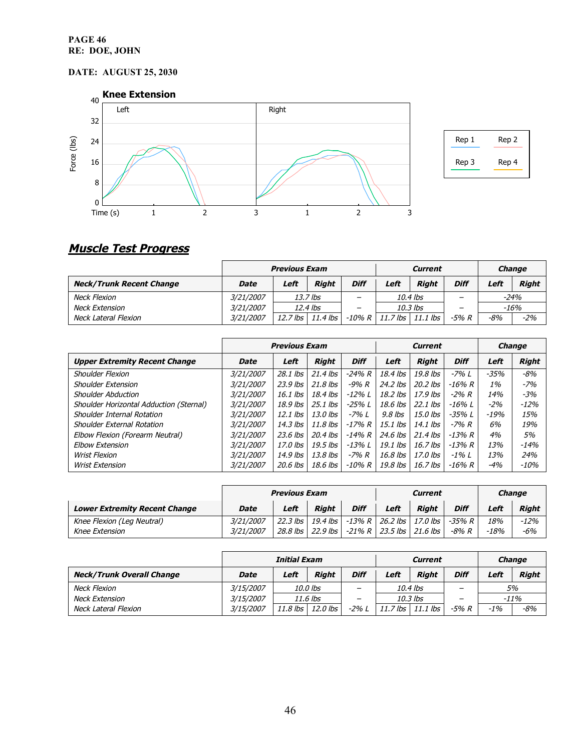#### **PAGE 46 RE: DOE, JOHN**

### **DATE: AUGUST 25, 2030**



| Rep 1 | Rep 2 |
|-------|-------|
| Rep 3 | Rep 4 |

# **Muscle Test Progress**

|                                 | <b>Previous Exam</b> |                  |              |                          |            | <b>Current</b>             | <b>Change</b>            |      |              |
|---------------------------------|----------------------|------------------|--------------|--------------------------|------------|----------------------------|--------------------------|------|--------------|
| <b>Neck/Trunk Recent Change</b> | Date                 | Left             | <b>Riaht</b> | <b>Diff</b>              | Left       | <b>Riaht</b>               | <b>Diff</b>              | Left | <b>Right</b> |
| Neck Flexion                    | 3/21/2007            | $13.7$ lbs       |              | $\overline{\phantom{m}}$ | 10.4 lbs   |                            | $\overline{\phantom{0}}$ |      | $-24%$       |
| <b>Neck Extension</b>           | 3/21/2007            | $12.4$ lbs       |              | $\qquad \qquad$          | $10.3$ lbs |                            | $\qquad \qquad$          |      | $-16%$       |
| Neck Lateral Flexion            | 3/21/2007            | 12.7 lbs $\vert$ | $11.4$ lbs   | $-10\%$ R $\vert$        |            | $11.7$ lbs $\mid$ 11.1 lbs | -5% R                    | -8%  | $-2%$        |

|                                         | <b>Previous Exam</b> |            |              |             | <b>Current</b> | <b>Change</b> |             |        |              |
|-----------------------------------------|----------------------|------------|--------------|-------------|----------------|---------------|-------------|--------|--------------|
| <b>Upper Extremity Recent Change</b>    | Date                 | Left       | <b>Right</b> | <b>Diff</b> | Left           | <b>Right</b>  | <b>Diff</b> | Left   | <b>Right</b> |
| <b>Shoulder Flexion</b>                 | 3/21/2007            | $28.1$ lbs | $21.4$ lbs   | -24% R      | 18.4 lbs       | $19.8$ lbs    | $-7\% L$    | $-35%$ | -8%          |
| <b>Shoulder Extension</b>               | 3/21/2007            | $23.9$ lbs | $21.8$ lbs   | $-9\% R$    | $24.2$ lbs     | $20.2$ lbs    | -16% R      | 1%     | $-7%$        |
| <b>Shoulder Abduction</b>               | <i>3/21/2007</i>     | $16.1$ lbs | 18.4 lbs     | $-12\% L$   | 18.2 lbs       | $17.9$ lbs    | $-2\% R$    | 14%    | $-3%$        |
| Shoulder Horizontal Adduction (Sternal) | 3/21/2007            | $18.9$ lbs | $25.1$ lbs   | $-25\% L$   | 18.6 lbs       | $22.1$ lbs    | $-16\% L$   | $-2\%$ | $-12%$       |
| Shoulder Internal Rotation              | 3/21/2007            | $12.1$ lbs | $13.0$ lbs   | $-7\% L$    | $9.8$ lbs      | $15.0$ lbs    | -35% L      | $-19%$ | 15%          |
| Shoulder External Rotation              | 3/21/2007            | 14.3 lbs   | $11.8$ lbs   | $-17\% R$   | 15.1 lbs       | $14.1$ lbs    | -7% R       | 6%     | 19%          |
| Elbow Flexion (Forearm Neutral)         | <i>3/21/2007</i>     | $23.6$ lbs | $20.4$ lbs   | -14% R      | 24.6 lbs       | $21.4$ lbs    | -13% R      | 4%     | 5%           |
| <b>Elbow Extension</b>                  | 3/21/2007            | 17.0 lbs   | $19.5$ lbs   | -13% L      | 19.1 lbs       | $16.7$ lbs    | -13% R      | 13%    | $-14%$       |
| Wrist Flexion                           | 3/21/2007            | $14.9$ lbs | $13.8$ lbs   | -7% R       | 16.8 lbs       | $17.0$ lbs    | -1% L       | 13%    | 24%          |
| <b>Wrist Extension</b>                  | 3/21/2007            | 20.6 lbs   | $18.6$ lbs   | -10% R      | 19.8 lbs       | $16.7$ lbs    | -16% R      | -4%    | $-10%$       |

|                                              | <b>Previous Exam</b>          |                          |                          |             |                                 | <b>Current</b>               | <b>Change</b>      |             |               |
|----------------------------------------------|-------------------------------|--------------------------|--------------------------|-------------|---------------------------------|------------------------------|--------------------|-------------|---------------|
| <b>Lower Extremity Recent Change</b>         | Date                          | Left                     | <b>Riaht</b>             | <b>Diff</b> | Left                            | <b>Riaht</b>                 | <b>Diff</b>        | Left        | <b>Riaht</b>  |
| Knee Flexion (Leg Neutral)<br>Knee Extension | <i>3/21/2007</i><br>3/21/2007 | $22.3$ lbs<br>$28.8$ lbs | 19.4 lbs  <br>$22.9$ lbs |             | $-21\% R$   23.5 lbs   21.6 lbs | -13% R   26.2 lbs   17.0 lbs | -35% R<br>$-8\% R$ | 18%<br>-18% | $-12%$<br>-6% |

|                                  | Initial Exam |                                    |            |                 | <b>Current</b> |                          |       | <b>Change</b> |         |
|----------------------------------|--------------|------------------------------------|------------|-----------------|----------------|--------------------------|-------|---------------|---------|
| <b>Neck/Trunk Overall Change</b> | Date         | <b>Diff</b><br>Left<br>Riaht       |            | Left            | <b>Riaht</b>   | <b>Diff</b>              | Left  | <b>Right</b>  |         |
| Neck Flexion                     | 3/15/2007    | <i>10.0 lbs</i><br>$\qquad \qquad$ |            |                 | 10.4 lbs       | $\overline{\phantom{0}}$ |       | 5%            |         |
| <b>Neck Extension</b>            | 3/15/2007    |                                    | 11.6 lbs   | $\qquad \qquad$ |                | 10.3 lbs                 | -     |               | $-11\%$ |
| Neck Lateral Flexion             | 3/15/2007    | $11.8$ lbs                         | $12.0$ lbs | $-2\%$ L        | $11.7$ lbs     | $11.1$ lbs               | -5% R | $-1\%$        | -8%     |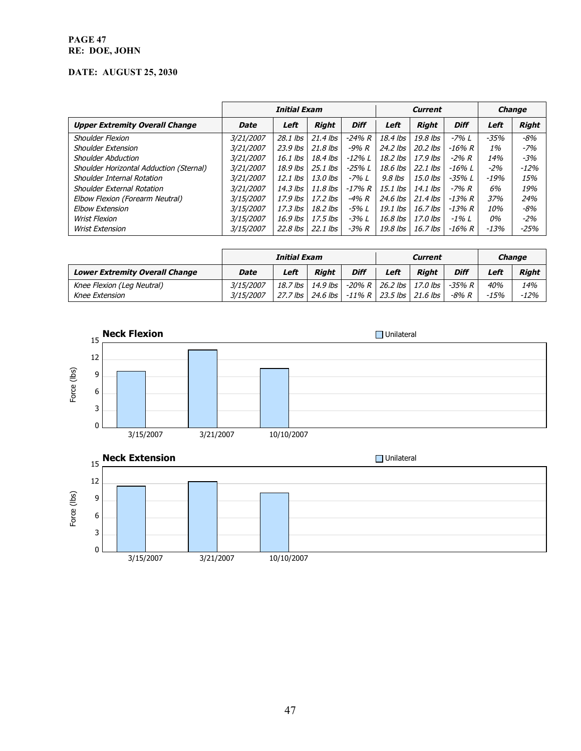#### **PAGE 47 RE: DOE, JOHN**

|                                         | <b>Initial Exam</b> |            |              | <b>Current</b> |            |              | <b>Change</b> |        |              |
|-----------------------------------------|---------------------|------------|--------------|----------------|------------|--------------|---------------|--------|--------------|
| <b>Upper Extremity Overall Change</b>   | Date                | Left       | <b>Right</b> | <b>Diff</b>    | Left       | <b>Right</b> | <b>Diff</b>   | Left   | <b>Right</b> |
| <b>Shoulder Flexion</b>                 | 3/21/2007           | $28.1$ lbs | $21.4$ lbs   | $-24\% R$      | $18.4$ lbs | $19.8$ lbs   | $-7\% L$      | $-35%$ | -8%          |
| <b>Shoulder Extension</b>               | 3/21/2007           | $23.9$ lbs | $21.8$ lbs   | $-9\% R$       | $24.2$ lbs | $20.2$ lbs   | $-16\% R$     | 1%     | $-7%$        |
| <b>Shoulder Abduction</b>               | 3/21/2007           | 16.1 lbs   | 18.4 lbs     | -12% L         | $18.2$ lbs | $17.9$ lbs   | $-2\% R$      | 14%    | $-3%$        |
| Shoulder Horizontal Adduction (Sternal) | 3/21/2007           | $18.9$ lbs | $25.1$ lbs   | $-25%1$        | $18.6$ lbs | $22.1$ lbs   | $-16\%$ L     | $-2\%$ | $-12%$       |
| Shoulder Internal Rotation              | 3/21/2007           | $12.1$ lbs | $13.0$ lbs   | $-7%L$         | $9.8$ lbs  | $15.0$ lbs   | $-35\% L$     | $-19%$ | 15%          |
| Shoulder External Rotation              | 3/21/2007           | $14.3$ lbs | $11.8$ lbs   | $-17\% R$      | $15.1$ lbs | 14.1 $lbs$   | -7% R         | 6%     | 19%          |
| Elbow Flexion (Forearm Neutral)         | 3/15/2007           | $17.9$ lbs | $17.2$ lbs   | $-4% R$        | $24.6$ lbs | $21.4$ lbs   | -13% R        | 37%    | 24%          |
| <b>Elbow Extension</b>                  | 3/15/2007           | $17.3$ lbs | $18.2$ lbs   | $-5\%$ L       | $19.1$ lbs | $16.7$ lbs   | -13% R        | 10%    | -8%          |
| <b>Wrist Flexion</b>                    | 3/15/2007           | 16.9 lbs   | $17.5$ lbs   | $-3% L$        | 16.8 lbs   | $17.0$ lbs   | $-1\% L$      | 0%     | $-2%$        |
| <b>Wrist Extension</b>                  | 3/15/2007           | 22.8 lbs   | $22.1$ lbs   | -3% R          | 19.8 lbs   | $16.7$ lbs   | -16% R        | $-13%$ | $-25%$       |

|                                              | Initial Exam           |            |                                               | <b>Current</b> |      |                                                                                | <b>Change</b>   |               |               |
|----------------------------------------------|------------------------|------------|-----------------------------------------------|----------------|------|--------------------------------------------------------------------------------|-----------------|---------------|---------------|
| <b>Lower Extremity Overall Change</b>        | Date                   | Left       | <b>Riaht</b>                                  | <b>Diff</b>    | Left | Riaht                                                                          | <b>Diff</b>     | Left          | Right         |
| Knee Flexion (Leg Neutral)<br>Knee Extension | 3/15/2007<br>3/15/2007 | $27.7$ lbs | $18.7$ lbs   $14.9$ lbs  <br>24.6 lbs $\vert$ |                |      | -20% R 26.2 lbs 17.0 lbs 1<br>$-11\%$ R $\mid$ 23.5 lbs $\mid$ 21.6 lbs $\mid$ | -35% R<br>-8% R | 40%<br>$-15%$ | 14%<br>$-12%$ |

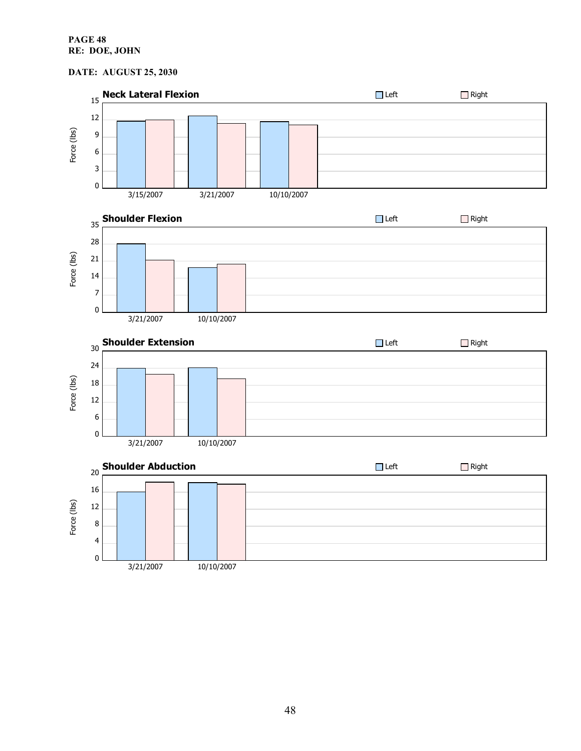#### **PAGE 48 RE: DOE, JOHN**

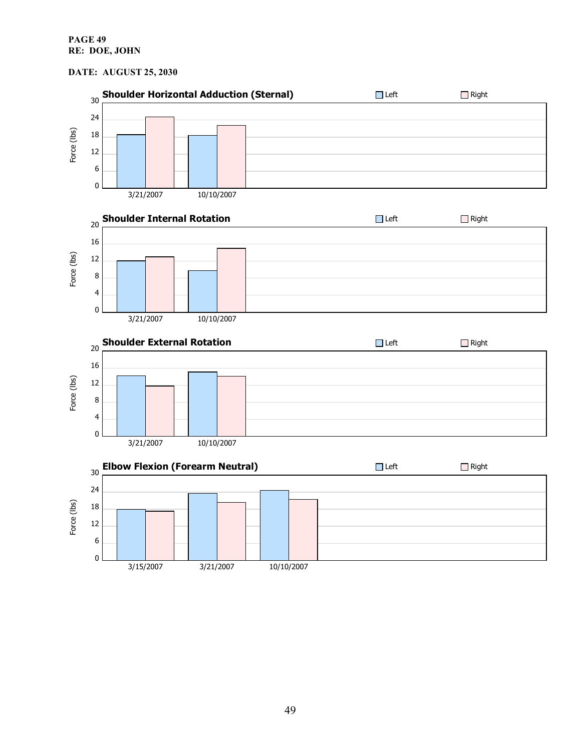#### **PAGE 49 RE: DOE, JOHN**

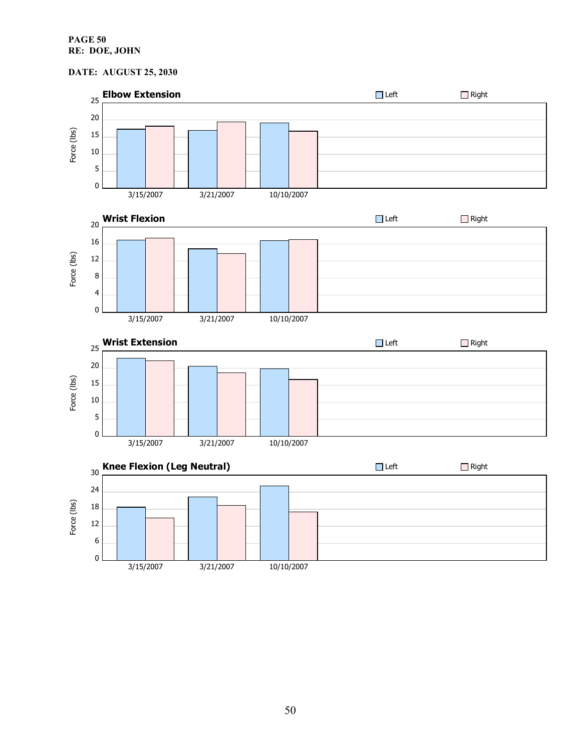#### **PAGE 50 RE: DOE, JOHN**

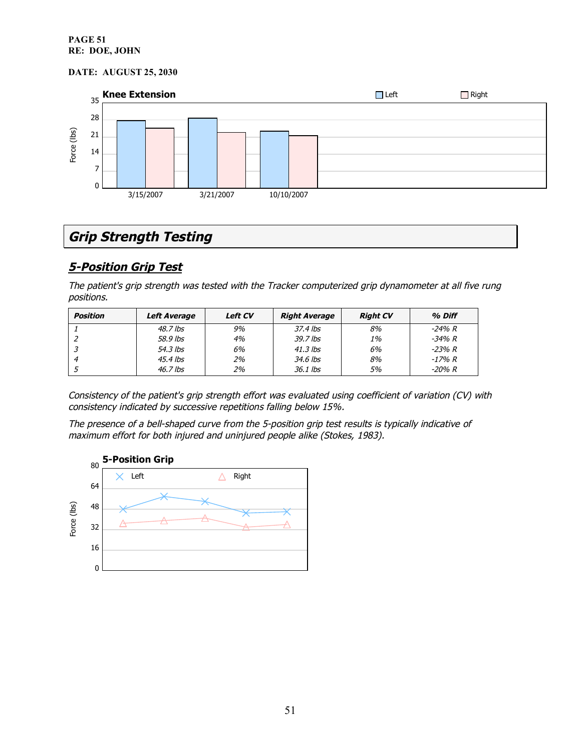#### **PAGE 51 RE: DOE, JOHN**

#### **DATE: AUGUST 25, 2030**



# **Grip Strength Testing**

## **5-Position Grip Test**

The patient's grip strength was tested with the Tracker computerized grip dynamometer at all five rung positions.

| Position | Left Average | <b>Left CV</b> | <b>Right Average</b> | <b>Right CV</b> | % Diff    |
|----------|--------------|----------------|----------------------|-----------------|-----------|
|          | 48.7 lbs     | 9%             | $37.4$ lbs           | 8%              | $-24\% R$ |
|          | 58.9 lbs     | 4%             | 39.7 lbs             | 1%              | $-34\% R$ |
|          | 54.3 lbs     | 6%             | $41.3$ lbs           | 6%              | $-23% R$  |
|          | $45.4$ lbs   | 2%             | 34.6 lbs             | 8%              | $-17\% R$ |
|          | 46.7 lbs     | 2%             | 36.1 lbs             | 5%              | -20% R    |

Consistency of the patient's grip strength effort was evaluated using coefficient of variation (CV) with consistency indicated by successive repetitions falling below 15%.

The presence of <sup>a</sup> bell-shaped curve from the 5-position grip test results is typically indicative of maximum effort for both injured and uninjured people alike (Stokes, 1983).

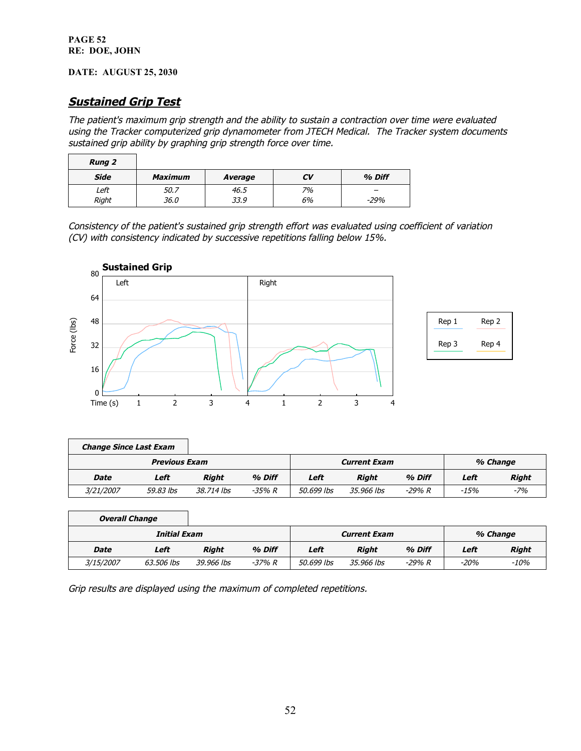**PAGE 52 RE: DOE, JOHN**

#### **DATE: AUGUST 25, 2030**

## **Sustained Grip Test**

The patient's maximum grip strength and the ability to sustain <sup>a</sup> contraction over time were evaluated using the Tracker computerized grip dynamometer from JTECH Medical. The Tracker system documents sustained grip ability by graphing grip strength force over time.

| <b>Rung 2</b> |                |         |    |        |
|---------------|----------------|---------|----|--------|
| <b>Side</b>   | <b>Maximum</b> | Average | CV | % Diff |
| Left          | 50.7           | 46.5    | 7% |        |
| Right         | 36.0           | 33.9    | 6% | $-29%$ |

Consistency of the patient's sustained grip strength effort was evaluated using coefficient of variation (CV) with consistency indicated by successive repetitions falling below 15%.



| <b>Change Since Last Exam</b> |                      |            |        |            |                     |           |        |          |
|-------------------------------|----------------------|------------|--------|------------|---------------------|-----------|--------|----------|
|                               | <b>Previous Exam</b> |            |        |            | <b>Current Exam</b> |           |        | % Change |
| Date                          | Left                 | Right      | % Diff | Left       | <b>Right</b>        | % Diff    | Left   | Right    |
| 3/21/2007                     | 59.83 lbs            | 38.714 lbs | -35% R | 50.699 lbs | 35.966 lbs          | $-29\% R$ | $-15%$ | -7%      |

| <b>Overall Change</b> |                     |              |           |            |                     |           |        |              |
|-----------------------|---------------------|--------------|-----------|------------|---------------------|-----------|--------|--------------|
|                       | <b>Initial Exam</b> |              |           |            | <b>Current Exam</b> |           |        | % Change     |
| <b>Date</b>           | Left                | <b>Riaht</b> | % Diff    | Left       | Riaht               | % Diff    | Left   | <b>Right</b> |
| 3/15/2007             | 63.506 lbs          | 39.966 lbs   | $-37\% R$ | 50.699 lbs | 35,966 lbs          | $-29\% R$ | $-20%$ | $-10%$       |

Grip results are displayed using the maximum of completed repetitions.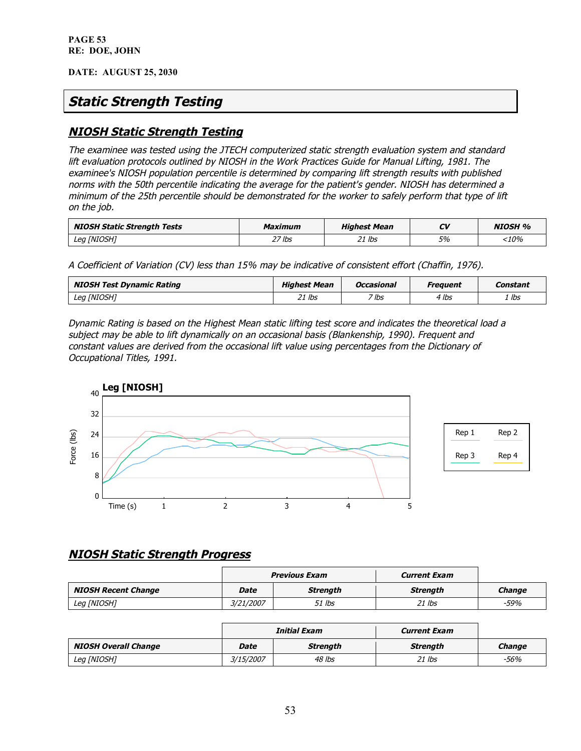# **Static Strength Testing**

## **NIOSH Static Strength Testing**

The examinee was tested using the JTECH computerized static strength evaluation system and standard lift evaluation protocols outlined by NIOSH in the Work Practices Guide for Manual Lifting, 1981. The examinee's NIOSH population percentile is determined by comparing lift strength results with published norms with the 50th percentile indicating the average for the patient's gender. NIOSH has determined <sup>a</sup> minimum of the 25th percentile should be demonstrated for the worker to safely perform that type of lift on the job.

| <b>NIOSH Static Strength Tests</b> | Maximum | <b>Highest Mean</b> | CV | <b>NIOSH %</b> |
|------------------------------------|---------|---------------------|----|----------------|
| <i>Leg [NIOSH]</i>                 | 27 lbs  | $21$ lbs            | 5% | :10%           |

A Coefficient of Variation (CV) less than 15% may be indicative of consistent effort (Chaffin, 1976).

| NIOSH Test Dynamic Rating | <b>Highest Mean</b> | Occasional | Freauent | Constant |
|---------------------------|---------------------|------------|----------|----------|
| Leg [NIOSH]               | 21 lbs              | 7 lbs      | 4 lbs    | r Ibs    |

Dynamic Rating is based on the Highest Mean static lifting test score and indicates the theoretical load <sup>a</sup> subject may be able to lift dynamically on an occasional basis (Blankenship, 1990). Frequent and constant values are derived from the occasional lift value using percentages from the Dictionary of Occupational Titles, 1991.



## **NIOSH Static Strength Progress**

|                            |                  | <b>Previous Exam</b> | <b>Current Exam</b> |               |
|----------------------------|------------------|----------------------|---------------------|---------------|
| <b>NIOSH Recent Change</b> | Date             | Strength             | <b>Strength</b>     | <b>Change</b> |
| Leg [NIOSH]                | <i>3/21/2007</i> | 51 Ibs               | $21$ lbs            | -59%          |

|                             |           | Initial Exam    | <b>Current Exam</b> |               |
|-----------------------------|-----------|-----------------|---------------------|---------------|
| <b>NIOSH Overall Change</b> | Date      | <b>Strength</b> | <b>Strength</b>     | <b>Change</b> |
| <i>Leg [NIOSH]</i>          | 3/15/2007 | 48 lbs          | 21 lbs              | $-56%$        |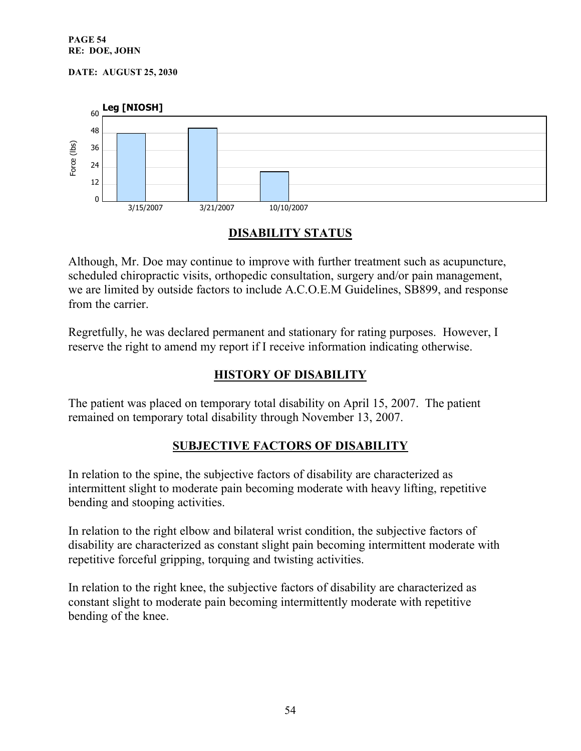#### **PAGE 54 RE: DOE, JOHN**

**DATE: AUGUST 25, 2030**



## **DISABILITY STATUS**

Although, Mr. Doe may continue to improve with further treatment such as acupuncture, scheduled chiropractic visits, orthopedic consultation, surgery and/or pain management, we are limited by outside factors to include A.C.O.E.M Guidelines, SB899, and response from the carrier.

Regretfully, he was declared permanent and stationary for rating purposes. However, I reserve the right to amend my report if I receive information indicating otherwise.

## **HISTORY OF DISABILITY**

The patient was placed on temporary total disability on April 15, 2007. The patient remained on temporary total disability through November 13, 2007.

## **SUBJECTIVE FACTORS OF DISABILITY**

In relation to the spine, the subjective factors of disability are characterized as intermittent slight to moderate pain becoming moderate with heavy lifting, repetitive bending and stooping activities.

In relation to the right elbow and bilateral wrist condition, the subjective factors of disability are characterized as constant slight pain becoming intermittent moderate with repetitive forceful gripping, torquing and twisting activities.

In relation to the right knee, the subjective factors of disability are characterized as constant slight to moderate pain becoming intermittently moderate with repetitive bending of the knee.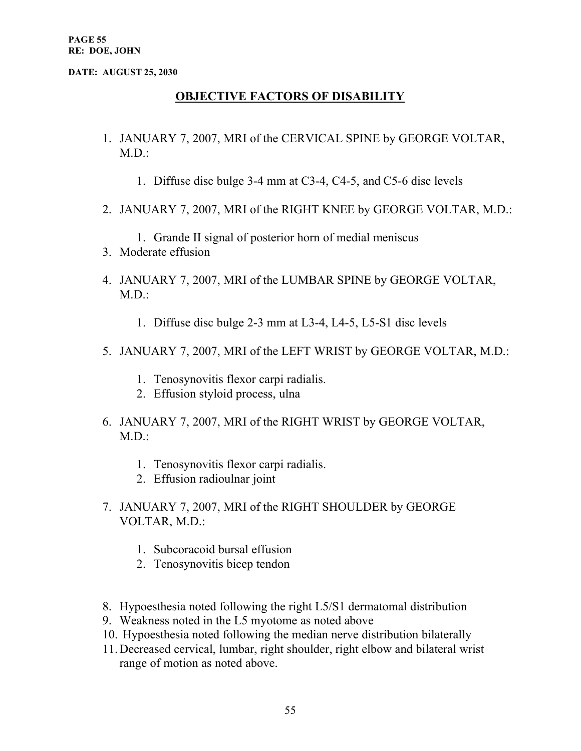## **OBJECTIVE FACTORS OF DISABILITY**

- 1. JANUARY 7, 2007, MRI of the CERVICAL SPINE by GEORGE VOLTAR,  $M.D.$ :
	- 1. Diffuse disc bulge 3-4 mm at C3-4, C4-5, and C5-6 disc levels
- 2. JANUARY 7, 2007, MRI of the RIGHT KNEE by GEORGE VOLTAR, M.D.:
	- 1. Grande II signal of posterior horn of medial meniscus
- 3. Moderate effusion
- 4. JANUARY 7, 2007, MRI of the LUMBAR SPINE by GEORGE VOLTAR,  $M.D.$ :
	- 1. Diffuse disc bulge 2-3 mm at L3-4, L4-5, L5-S1 disc levels
- 5. JANUARY 7, 2007, MRI of the LEFT WRIST by GEORGE VOLTAR, M.D.:
	- 1. Tenosynovitis flexor carpi radialis.
	- 2. Effusion styloid process, ulna
- 6. JANUARY 7, 2007, MRI of the RIGHT WRIST by GEORGE VOLTAR,  $MD:$ 
	- 1. Tenosynovitis flexor carpi radialis.
	- 2. Effusion radioulnar joint
- 7. JANUARY 7, 2007, MRI of the RIGHT SHOULDER by GEORGE VOLTAR, M.D.:
	- 1. Subcoracoid bursal effusion
	- 2. Tenosynovitis bicep tendon
- 8. Hypoesthesia noted following the right L5/S1 dermatomal distribution
- 9. Weakness noted in the L5 myotome as noted above
- 10. Hypoesthesia noted following the median nerve distribution bilaterally
- 11.Decreased cervical, lumbar, right shoulder, right elbow and bilateral wrist range of motion as noted above.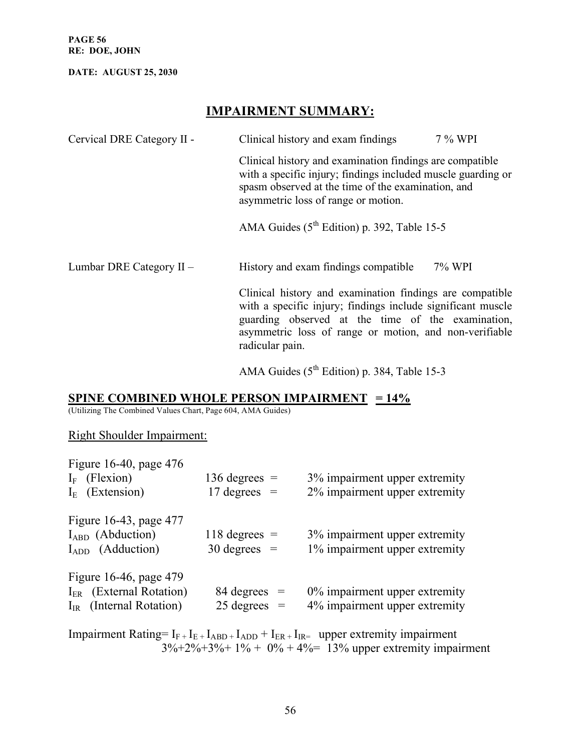**PAGE 56 RE: DOE, JOHN**

**DATE: AUGUST 25, 2030**

## **IMPAIRMENT SUMMARY:**

| Cervical DRE Category II - | Clinical history and exam findings                                                                                                                                                                                                                        | 7 % WPI |  |  |  |
|----------------------------|-----------------------------------------------------------------------------------------------------------------------------------------------------------------------------------------------------------------------------------------------------------|---------|--|--|--|
|                            | Clinical history and examination findings are compatible.<br>with a specific injury; findings included muscle guarding or<br>spasm observed at the time of the examination, and<br>asymmetric loss of range or motion.                                    |         |  |  |  |
|                            | AMA Guides $(5^{th}$ Edition) p. 392, Table 15-5                                                                                                                                                                                                          |         |  |  |  |
| Lumbar DRE Category II -   | History and exam findings compatible<br>7% WPI                                                                                                                                                                                                            |         |  |  |  |
|                            | Clinical history and examination findings are compatible<br>with a specific injury; findings include significant muscle<br>guarding observed at the time of the examination,<br>asymmetric loss of range or motion, and non-verifiable<br>radicular pain. |         |  |  |  |

AMA Guides (5<sup>th</sup> Edition) p. 384, Table 15-3

## **SPINE COMBINED WHOLE PERSON IMPAIRMENT = 14%**

(Utilizing The Combined Values Chart, Page 604, AMA Guides)

### Right Shoulder Impairment:

| Figure 16-40, page 476          |                        |                                  |
|---------------------------------|------------------------|----------------------------------|
| $I_F$ (Flexion)                 | 136 degrees $=$        | 3% impairment upper extremity    |
| $IE$ (Extension)                | $17 \text{ degrees} =$ | 2% impairment upper extremity    |
| Figure 16-43, page 477          |                        |                                  |
| $I_{ABD}$ (Abduction)           | $118$ degrees =        | 3% impairment upper extremity    |
| $I_{ADD}$ (Adduction)           | $30 \text{ degrees} =$ | 1% impairment upper extremity    |
| Figure 16-46, page 479          |                        |                                  |
| $I_{ER}$ (External Rotation)    | $84 \text{ degrees} =$ | $0\%$ impairment upper extremity |
| (Internal Rotation)<br>$I_{IR}$ | $25$ degrees =         | 4% impairment upper extremity    |

Impairment Rating=  $I_{F+}I_{E+}I_{ABD}$  +  $I_{ADD}$  +  $I_{ER+}I_{IR=}$  upper extremity impairment  $3\% + 2\% + 3\% + 1\% + 0\% + 4\% = 13\%$  upper extremity impairment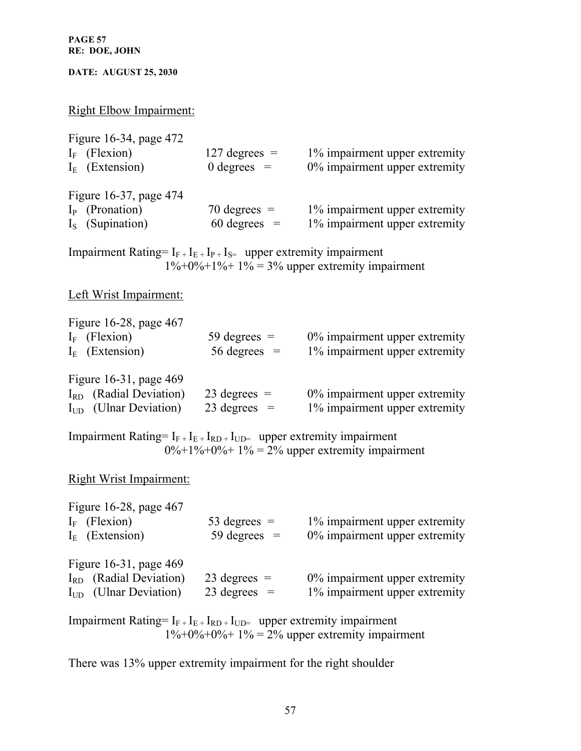**PAGE 57 RE: DOE, JOHN**

**DATE: AUGUST 25, 2030**

Right Elbow Impairment:

Figure 16-34, page 472  $I_F$  (Flexion) 127 degrees = 1% impairment upper extremity  $I_{E}$  (Extension) 0 degrees = 0% impairment upper extremity Figure 16-37, page 474  $I_P$  (Pronation) 70 degrees =  $1\%$  impairment upper extremity  $I<sub>S</sub>$  (Supination) 60 degrees =  $1\%$  impairment upper extremity Impairment Rating=  $I_{F+}I_{E+}I_{P+}I_{S=}$  upper extremity impairment  $1\% + 0\% + 1\% + 1\% = 3\%$  upper extremity impairment Left Wrist Impairment: Figure 16-28, page 467  $I_F$  (Flexion) 59 degrees = 0% impairment upper extremity  $I_{E}$  (Extension) 56 degrees = 1% impairment upper extremity Figure 16-31, page 469  $I_{RD}$  (Radial Deviation) 23 degrees = 0% impairment upper extremity  $I_{\text{UD}}$  (Ulnar Deviation) 23 degrees = 1% impairment upper extremity Impairment Rating=  $I_{F+}I_{E+}I_{RD+}I_{UD}=$  upper extremity impairment  $0\% + 1\% + 0\% + 1\% = 2\%$  upper extremity impairment Right Wrist Impairment: Figure 16-28, page 467  $I_F$  (Flexion) 53 degrees = 1% impairment upper extremity  $I_{E}$  (Extension) 59 degrees = 0% impairment upper extremity Figure 16-31, page 469  $I_{RD}$  (Radial Deviation) 23 degrees = 0% impairment upper extremity  $I<sub>UD</sub>$  (Ulnar Deviation) 23 degrees = 1% impairment upper extremity Impairment Rating=  $I_{F+}I_{E+}I_{RD+}I_{UD}=$  upper extremity impairment  $1\% + 0\% + 0\% + 1\% = 2\%$  upper extremity impairment

There was 13% upper extremity impairment for the right shoulder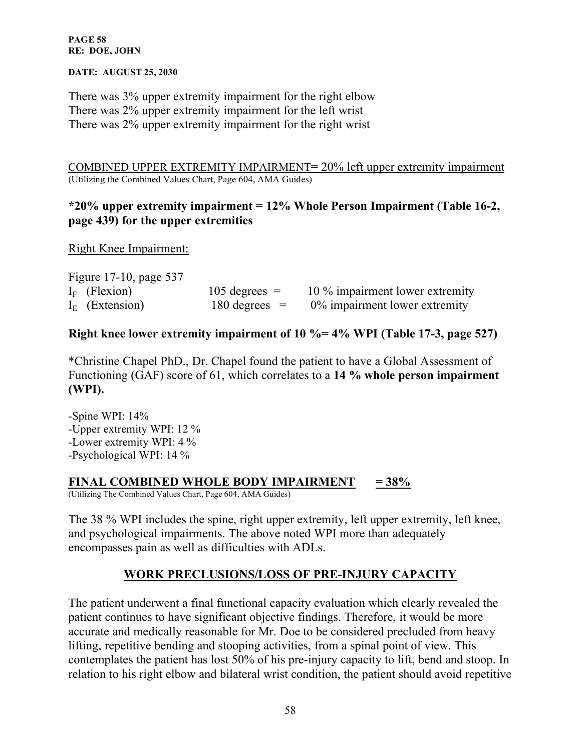#### **PAGE 58 RE: DOE, JOHN**

**DATE: AUGUST 25, 2030**

There was 3% upper extremity impairment for the right elbow There was 2% upper extremity impairment for the left wrist There was 2% upper extremity impairment for the right wrist

COMBINED UPPER EXTREMITY IMPAIRMENT**=** 20% left upper extremity impairment (Utilizing the Combined Values Chart, Page 604, AMA Guides)

## **\*20% upper extremity impairment = 12% Whole Person Impairment (Table 16-2, page 439) for the upper extremities**

Right Knee Impairment:

| Figure 17-10, page 537 |                         |                                  |
|------------------------|-------------------------|----------------------------------|
| $I_F$ (Flexion)        | $105$ degrees $=$       | 10 % impairment lower extremity  |
| $IE$ (Extension)       | $180 \text{ degrees} =$ | $0\%$ impairment lower extremity |

## **Right knee lower extremity impairment of 10 %= 4% WPI (Table 17-3, page 527)**

\*Christine Chapel PhD., Dr. Chapel found the patient to have a Global Assessment of Functioning (GAF) score of 61, which correlates to a **14 % whole person impairment (WPI).**

-Spine WPI: 14% -Upper extremity WPI: 12 % -Lower extremity WPI: 4 % -Psychological WPI: 14 %

### **FINAL COMBINED WHOLE BODY IMPAIRMENT = 38%**

(Utilizing The Combined Values Chart, Page 604, AMA Guides)

The 38 % WPI includes the spine, right upper extremity, left upper extremity, left knee, and psychological impairments. The above noted WPI more than adequately encompasses pain as well as difficulties with ADLs.

## **WORK PRECLUSIONS/LOSS OF PRE-INJURY CAPACITY**

The patient underwent a final functional capacity evaluation which clearly revealed the patient continues to have significant objective findings. Therefore, it would be more accurate and medically reasonable for Mr. Doe to be considered precluded from heavy lifting, repetitive bending and stooping activities, from a spinal point of view. This contemplates the patient has lost 50% of his pre-injury capacity to lift, bend and stoop. In relation to his right elbow and bilateral wrist condition, the patient should avoid repetitive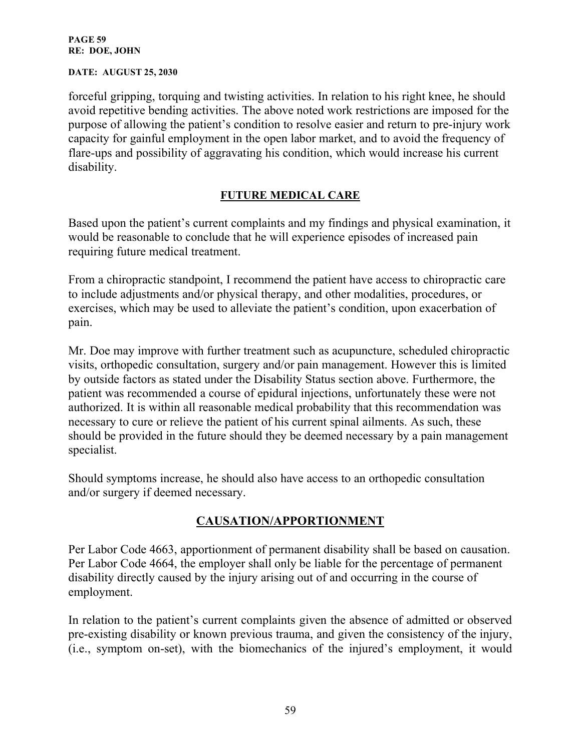#### **PAGE 59 RE: DOE, JOHN**

#### **DATE: AUGUST 25, 2030**

forceful gripping, torquing and twisting activities. In relation to his right knee, he should avoid repetitive bending activities. The above noted work restrictions are imposed for the purpose of allowing the patient's condition to resolve easier and return to pre-injury work capacity for gainful employment in the open labor market, and to avoid the frequency of flare-ups and possibility of aggravating his condition, which would increase his current disability.

## **FUTURE MEDICAL CARE**

Based upon the patient's current complaints and my findings and physical examination, it would be reasonable to conclude that he will experience episodes of increased pain requiring future medical treatment.

From a chiropractic standpoint, I recommend the patient have access to chiropractic care to include adjustments and/or physical therapy, and other modalities, procedures, or exercises, which may be used to alleviate the patient's condition, upon exacerbation of pain.

Mr. Doe may improve with further treatment such as acupuncture, scheduled chiropractic visits, orthopedic consultation, surgery and/or pain management. However this is limited by outside factors as stated under the Disability Status section above. Furthermore, the patient was recommended a course of epidural injections, unfortunately these were not authorized. It is within all reasonable medical probability that this recommendation was necessary to cure or relieve the patient of his current spinal ailments. As such, these should be provided in the future should they be deemed necessary by a pain management specialist.

Should symptoms increase, he should also have access to an orthopedic consultation and/or surgery if deemed necessary.

## **CAUSATION/APPORTIONMENT**

Per Labor Code 4663, apportionment of permanent disability shall be based on causation. Per Labor Code 4664, the employer shall only be liable for the percentage of permanent disability directly caused by the injury arising out of and occurring in the course of employment.

In relation to the patient's current complaints given the absence of admitted or observed pre-existing disability or known previous trauma, and given the consistency of the injury, (i.e., symptom on-set), with the biomechanics of the injured's employment, it would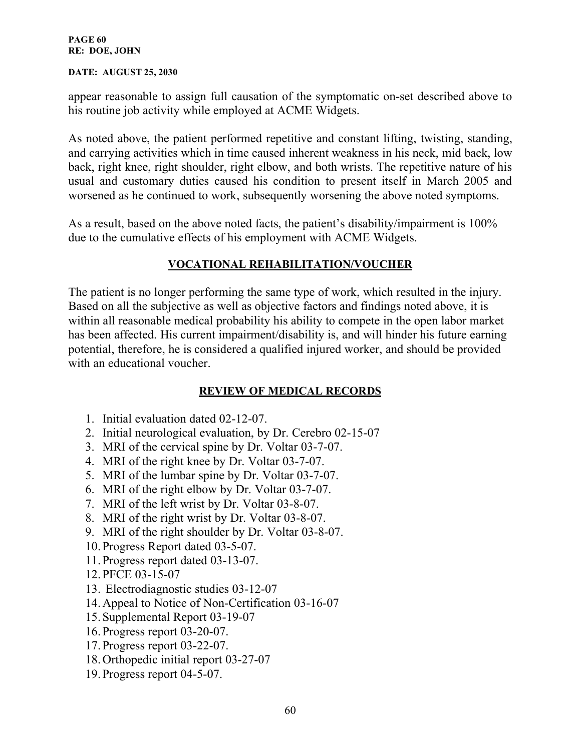#### **PAGE 60 RE: DOE, JOHN**

#### **DATE: AUGUST 25, 2030**

appear reasonable to assign full causation of the symptomatic on-set described above to his routine job activity while employed at ACME Widgets.

As noted above, the patient performed repetitive and constant lifting, twisting, standing, and carrying activities which in time caused inherent weakness in his neck, mid back, low back, right knee, right shoulder, right elbow, and both wrists. The repetitive nature of his usual and customary duties caused his condition to present itself in March 2005 and worsened as he continued to work, subsequently worsening the above noted symptoms.

As a result, based on the above noted facts, the patient's disability/impairment is 100% due to the cumulative effects of his employment with ACME Widgets.

### **VOCATIONAL REHABILITATION/VOUCHER**

The patient is no longer performing the same type of work, which resulted in the injury. Based on all the subjective as well as objective factors and findings noted above, it is within all reasonable medical probability his ability to compete in the open labor market has been affected. His current impairment/disability is, and will hinder his future earning potential, therefore, he is considered a qualified injured worker, and should be provided with an educational voucher.

## **REVIEW OF MEDICAL RECORDS**

- 1. Initial evaluation dated 02-12-07.
- 2. Initial neurological evaluation, by Dr. Cerebro 02-15-07
- 3. MRI of the cervical spine by Dr. Voltar 03-7-07.
- 4. MRI of the right knee by Dr. Voltar 03-7-07.
- 5. MRI of the lumbar spine by Dr. Voltar 03-7-07.
- 6. MRI of the right elbow by Dr. Voltar 03-7-07.
- 7. MRI of the left wrist by Dr. Voltar 03-8-07.
- 8. MRI of the right wrist by Dr. Voltar 03-8-07.
- 9. MRI of the right shoulder by Dr. Voltar 03-8-07.
- 10.Progress Report dated 03-5-07.
- 11.Progress report dated 03-13-07.
- 12.PFCE 03-15-07
- 13. Electrodiagnostic studies 03-12-07
- 14.Appeal to Notice of Non-Certification 03-16-07
- 15.Supplemental Report 03-19-07
- 16.Progress report 03-20-07.
- 17.Progress report 03-22-07.
- 18.Orthopedic initial report 03-27-07
- 19.Progress report 04-5-07.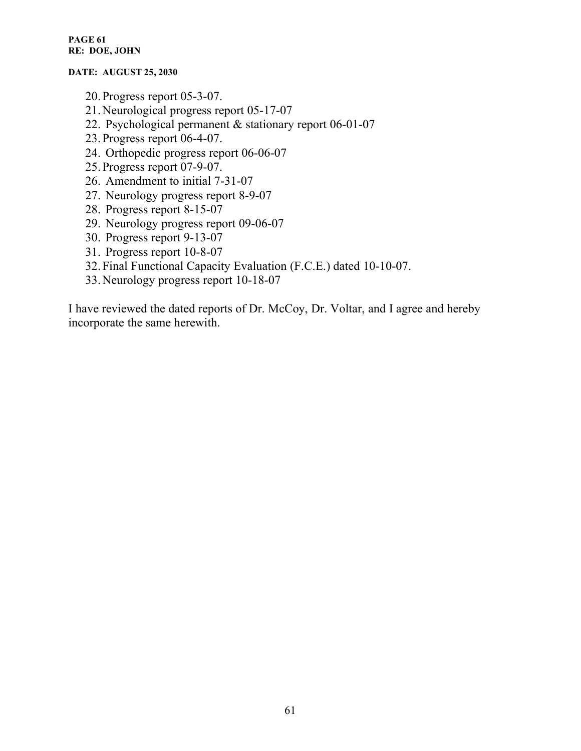#### **PAGE 61 RE: DOE, JOHN**

#### **DATE: AUGUST 25, 2030**

- 20.Progress report 05-3-07.
- 21.Neurological progress report 05-17-07
- 22. Psychological permanent & stationary report 06-01-07
- 23.Progress report 06-4-07.
- 24. Orthopedic progress report 06-06-07
- 25.Progress report 07-9-07.
- 26. Amendment to initial 7-31-07
- 27. Neurology progress report 8-9-07
- 28. Progress report 8-15-07
- 29. Neurology progress report 09-06-07
- 30. Progress report 9-13-07
- 31. Progress report 10-8-07
- 32.Final Functional Capacity Evaluation (F.C.E.) dated 10-10-07.
- 33.Neurology progress report 10-18-07

I have reviewed the dated reports of Dr. McCoy, Dr. Voltar, and I agree and hereby incorporate the same herewith.